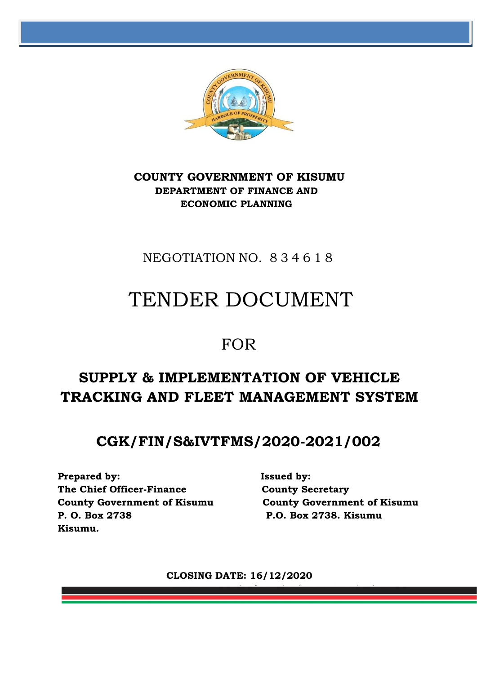

## **COUNTY GOVERNMENT OF KISUMU DEPARTMENT OF FINANCE AND ECONOMIC PLANNING**

## NEGOTIATION NO. 834618

# TENDER DOCUMENT

## FOR

## **SUPPLY & IMPLEMENTATION OF VEHICLE TRACKING AND FLEET MANAGEMENT SYSTEM**

## **CGK/FIN/S&IVTFMS/2020-2021/002**

**Prepared by: Issued by: The Chief Officer-Finance County Secretary P. O. Box 2738 P.O. Box 2738. Kisumu Kisumu.**

**County Government of Kisumu County Government of Kisumu**

**CLOSING DATE: 16/12/2020**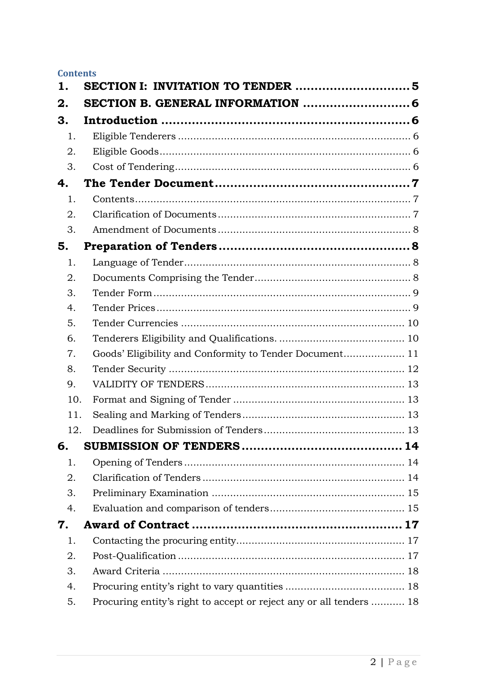#### **Contents**

| 1.  |                                                                     |  |
|-----|---------------------------------------------------------------------|--|
| 2.  |                                                                     |  |
| З.  |                                                                     |  |
| 1.  |                                                                     |  |
| 2.  |                                                                     |  |
| 3.  |                                                                     |  |
| 4.  |                                                                     |  |
| 1.  |                                                                     |  |
| 2.  |                                                                     |  |
| 3.  |                                                                     |  |
| 5.  |                                                                     |  |
| 1.  |                                                                     |  |
| 2.  |                                                                     |  |
| 3.  |                                                                     |  |
| 4.  |                                                                     |  |
| 5.  |                                                                     |  |
| 6.  |                                                                     |  |
| 7.  | Goods' Eligibility and Conformity to Tender Document 11             |  |
| 8.  |                                                                     |  |
| 9.  |                                                                     |  |
| 10. |                                                                     |  |
| 11. |                                                                     |  |
| 12. |                                                                     |  |
| 6.  |                                                                     |  |
| 1.  |                                                                     |  |
| 2.  |                                                                     |  |
| 3.  |                                                                     |  |
| 4.  |                                                                     |  |
| 7.  |                                                                     |  |
| 1.  |                                                                     |  |
| 2.  |                                                                     |  |
| 3.  |                                                                     |  |
| 4.  |                                                                     |  |
| 5.  | Procuring entity's right to accept or reject any or all tenders  18 |  |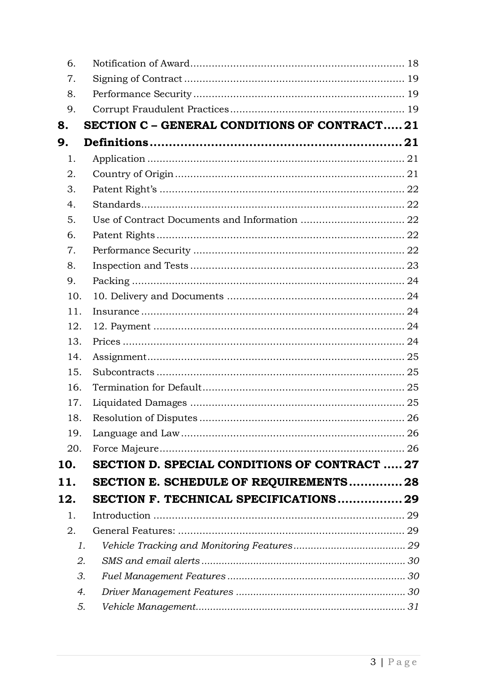| 6.  |                                                     |  |
|-----|-----------------------------------------------------|--|
| 7.  |                                                     |  |
| 8.  |                                                     |  |
| 9.  |                                                     |  |
| 8.  | <b>SECTION C - GENERAL CONDITIONS OF CONTRACT21</b> |  |
| 9.  |                                                     |  |
| 1.  |                                                     |  |
| 2.  |                                                     |  |
| 3.  |                                                     |  |
| 4.  |                                                     |  |
| 5.  |                                                     |  |
| 6.  |                                                     |  |
| 7.  |                                                     |  |
| 8.  |                                                     |  |
| 9.  |                                                     |  |
| 10. |                                                     |  |
| 11. |                                                     |  |
| 12. |                                                     |  |
| 13. |                                                     |  |
| 14. |                                                     |  |
| 15. |                                                     |  |
| 16. |                                                     |  |
| 17. |                                                     |  |
| 18. |                                                     |  |
| 19. |                                                     |  |
| 20. |                                                     |  |
| 10. | <b>SECTION D. SPECIAL CONDITIONS OF CONTRACT27</b>  |  |
| 11. | SECTION E. SCHEDULE OF REQUIREMENTS 28              |  |
| 12. | SECTION F. TECHNICAL SPECIFICATIONS 29              |  |
| 1.  |                                                     |  |
| 2.  |                                                     |  |
| 1.  |                                                     |  |
| 2.  |                                                     |  |
| 3.  |                                                     |  |
| 4.  |                                                     |  |
| 5.  |                                                     |  |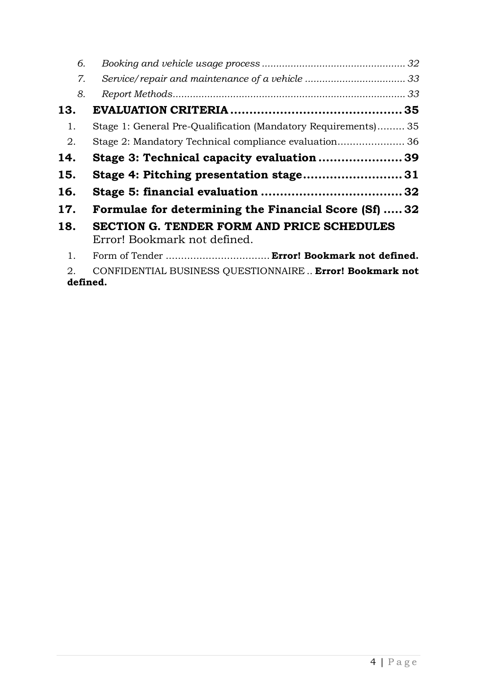| 6.  |                                                                                   |  |
|-----|-----------------------------------------------------------------------------------|--|
| 7.  |                                                                                   |  |
| 8.  |                                                                                   |  |
| 13. |                                                                                   |  |
| 1.  | Stage 1: General Pre-Qualification (Mandatory Requirements) 35                    |  |
| 2.  |                                                                                   |  |
| 14. | Stage 3: Technical capacity evaluation 39                                         |  |
| 15. | Stage 4: Pitching presentation stage31                                            |  |
| 16. |                                                                                   |  |
| 17. | Formulae for determining the Financial Score (Sf)  32                             |  |
| 18. | <b>SECTION G. TENDER FORM AND PRICE SCHEDULES</b><br>Error! Bookmark not defined. |  |
| 1.  |                                                                                   |  |
| 2.  | CONFIDENTIAL BUSINESS QUESTIONNAIRE Error! Bookmark not                           |  |

**defined.**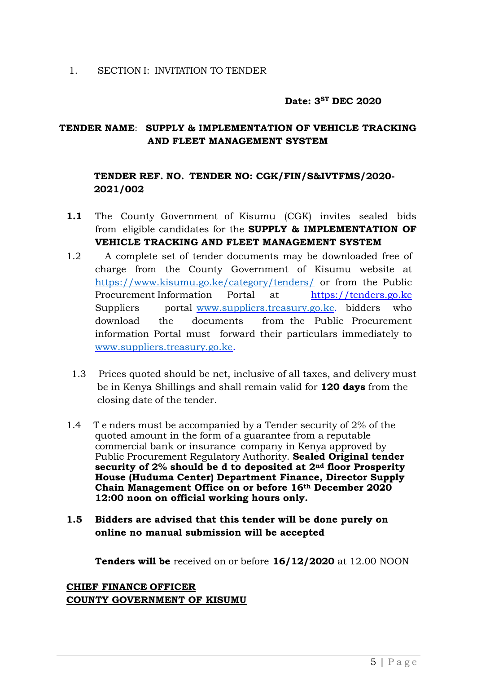#### **Date: 3 ST DEC 2020**

#### <span id="page-4-0"></span>**TENDER NAME**: **SUPPLY & IMPLEMENTATION OF VEHICLE TRACKING AND FLEET MANAGEMENT SYSTEM**

#### **TENDER REF. NO. TENDER NO: CGK/FIN/S&IVTFMS/2020- 2021/002**

- **1.1** The County Government of Kisumu (CGK) invites sealed bids from eligible candidates for the **SUPPLY & IMPLEMENTATION OF VEHICLE TRACKING AND FLEET MANAGEMENT SYSTEM**
- 1.2 A complete set of tender documents may be downloaded free of charge from the County Government of Kisumu website at <https://www.kisumu.go.ke/category/tenders/> or from the Public Procurement Information Portal at https://tenders.go.ke Suppliers portal [www.suppliers.treasury.go.ke.](http://www.suppliers.treasury.go.ke/) bidders who download the documents from the Public Procurement information Portal must forward their particulars immediately to [www.suppliers.treasury.go.ke.](http://www.suppliers.treasury.go.ke/)
	- 1.3 Prices quoted should be net, inclusive of all taxes, and delivery must be in Kenya Shillings and shall remain valid for **120 days** from the closing date of the tender.
- 1.4 T e nders must be accompanied by a Tender security of 2% of the quoted amount in the form of a guarantee from a reputable commercial bank or insurance company in Kenya approved by Public Procurement Regulatory Authority. **Sealed Original tender security of 2% should be d to deposited at 2nd floor Prosperity House (Huduma Center) Department Finance, Director Supply Chain Management Office on or before 16th December 2020 12:00 noon on official working hours only.**
- **1.5 Bidders are advised that this tender will be done purely on online no manual submission will be accepted**

**Tenders will be** received on or before **16/12/2020** at 12.00 NOON

**CHIEF FINANCE OFFICER COUNTY GOVERNMENT OF KISUMU**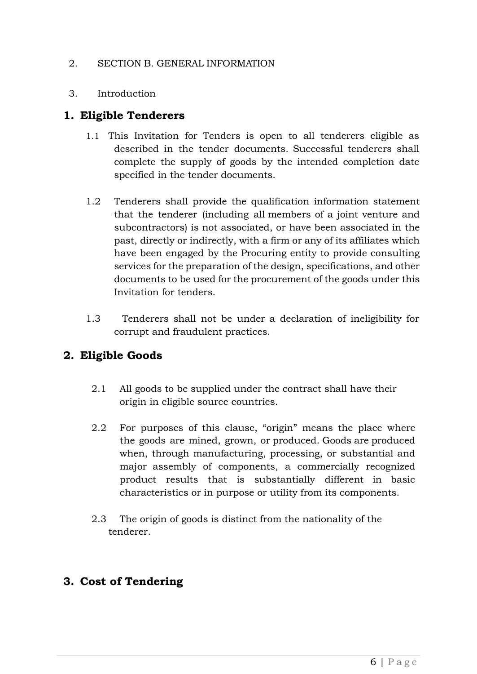#### <span id="page-5-0"></span>2. SECTION B. GENERAL INFORMATION

#### <span id="page-5-1"></span>3. Introduction

#### <span id="page-5-2"></span>**1. Eligible Tenderers**

- 1.1 This Invitation for Tenders is open to all tenderers eligible as described in the tender documents. Successful tenderers shall complete the supply of goods by the intended completion date specified in the tender documents.
- 1.2 Tenderers shall provide the qualification information statement that the tenderer (including all members of a joint venture and subcontractors) is not associated, or have been associated in the past, directly or indirectly, with a firm or any of its affiliates which have been engaged by the Procuring entity to provide consulting services for the preparation of the design, specifications, and other documents to be used for the procurement of the goods under this Invitation for tenders.
- 1.3 Tenderers shall not be under a declaration of ineligibility for corrupt and fraudulent practices.

## <span id="page-5-3"></span>**2. Eligible Goods**

- 2.1 All goods to be supplied under the contract shall have their origin in eligible source countries.
- 2.2 For purposes of this clause, "origin" means the place where the goods are mined, grown, or produced. Goods are produced when, through manufacturing, processing, or substantial and major assembly of components, a commercially recognized product results that is substantially different in basic characteristics or in purpose or utility from its components.
- 2.3 The origin of goods is distinct from the nationality of the tenderer.

## <span id="page-5-4"></span>**3. Cost of Tendering**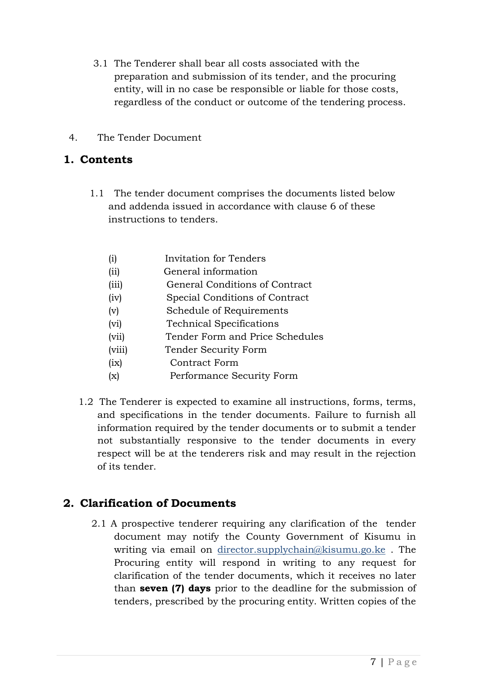- 3.1 The Tenderer shall bear all costs associated with the preparation and submission of its tender, and the procuring entity, will in no case be responsible or liable for those costs, regardless of the conduct or outcome of the tendering process.
- <span id="page-6-0"></span>4. The Tender Document

## <span id="page-6-1"></span>**1. Contents**

1.1 The tender document comprises the documents listed below and addenda issued in accordance with clause 6 of these instructions to tenders.

| (i)    | Invitation for Tenders          |
|--------|---------------------------------|
| (ii)   | General information             |
| (iii)  | General Conditions of Contract  |
| (iv)   | Special Conditions of Contract  |
| (v)    | Schedule of Requirements        |
| (vi)   | <b>Technical Specifications</b> |
| (vii)  | Tender Form and Price Schedules |
| (viii) | Tender Security Form            |
| (ix)   | Contract Form                   |
| (x)    | Performance Security Form       |
|        |                                 |

1.2 The Tenderer is expected to examine all instructions, forms, terms, and specifications in the tender documents. Failure to furnish all information required by the tender documents or to submit a tender not substantially responsive to the tender documents in every respect will be at the tenderers risk and may result in the rejection of its tender.

## <span id="page-6-2"></span>**2. Clarification of Documents**

2.1 A prospective tenderer requiring any clarification of the tender document may notify the County Government of Kisumu in writing via email on director.supplychain@kisumu.go.ke . The Procuring entity will respond in writing to any request for clarification of the tender documents, which it receives no later than **seven (7) days** prior to the deadline for the submission of tenders, prescribed by the procuring entity. Written copies of the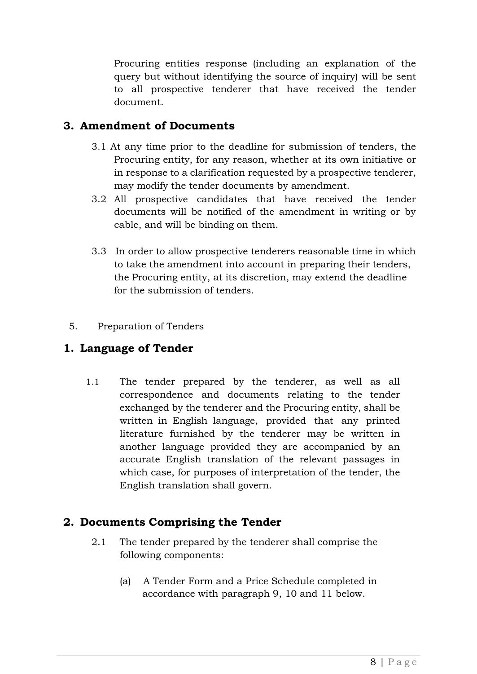Procuring entities response (including an explanation of the query but without identifying the source of inquiry) will be sent to all prospective tenderer that have received the tender document.

#### <span id="page-7-0"></span>**3. Amendment of Documents**

- 3.1 At any time prior to the deadline for submission of tenders, the Procuring entity, for any reason, whether at its own initiative or in response to a clarification requested by a prospective tenderer, may modify the tender documents by amendment.
- 3.2 All prospective candidates that have received the tender documents will be notified of the amendment in writing or by cable, and will be binding on them.
- 3.3 In order to allow prospective tenderers reasonable time in which to take the amendment into account in preparing their tenders, the Procuring entity, at its discretion, may extend the deadline for the submission of tenders.

#### <span id="page-7-1"></span>5. Preparation of Tenders

## <span id="page-7-2"></span>**1. Language of Tender**

1.1 The tender prepared by the tenderer, as well as all correspondence and documents relating to the tender exchanged by the tenderer and the Procuring entity, shall be written in English language, provided that any printed literature furnished by the tenderer may be written in another language provided they are accompanied by an accurate English translation of the relevant passages in which case, for purposes of interpretation of the tender, the English translation shall govern.

## <span id="page-7-3"></span>**2. Documents Comprising the Tender**

- 2.1 The tender prepared by the tenderer shall comprise the following components:
	- (a) A Tender Form and a Price Schedule completed in accordance with paragraph 9, 10 and 11 below.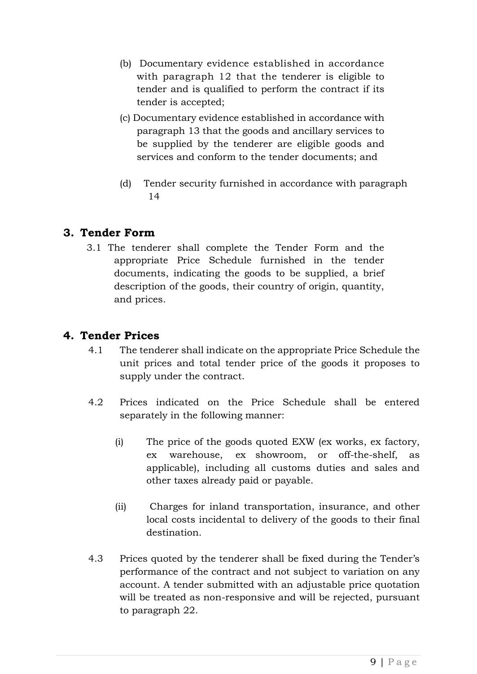- (b) Documentary evidence established in accordance with paragraph 12 that the tenderer is eligible to tender and is qualified to perform the contract if its tender is accepted;
- (c) Documentary evidence established in accordance with paragraph 13 that the goods and ancillary services to be supplied by the tenderer are eligible goods and services and conform to the tender documents; and
- (d) Tender security furnished in accordance with paragraph 14

## <span id="page-8-0"></span>**3. Tender Form**

3.1 The tenderer shall complete the Tender Form and the appropriate Price Schedule furnished in the tender documents, indicating the goods to be supplied, a brief description of the goods, their country of origin, quantity, and prices.

## <span id="page-8-1"></span>**4. Tender Prices**

- 4.1 The tenderer shall indicate on the appropriate Price Schedule the unit prices and total tender price of the goods it proposes to supply under the contract.
- 4.2 Prices indicated on the Price Schedule shall be entered separately in the following manner:
	- (i) The price of the goods quoted EXW (ex works, ex factory, ex warehouse, ex showroom, or off-the-shelf, as applicable), including all customs duties and sales and other taxes already paid or payable.
	- (ii) Charges for inland transportation, insurance, and other local costs incidental to delivery of the goods to their final destination.
- 4.3 Prices quoted by the tenderer shall be fixed during the Tender's performance of the contract and not subject to variation on any account. A tender submitted with an adjustable price quotation will be treated as non-responsive and will be rejected, pursuant to paragraph 22.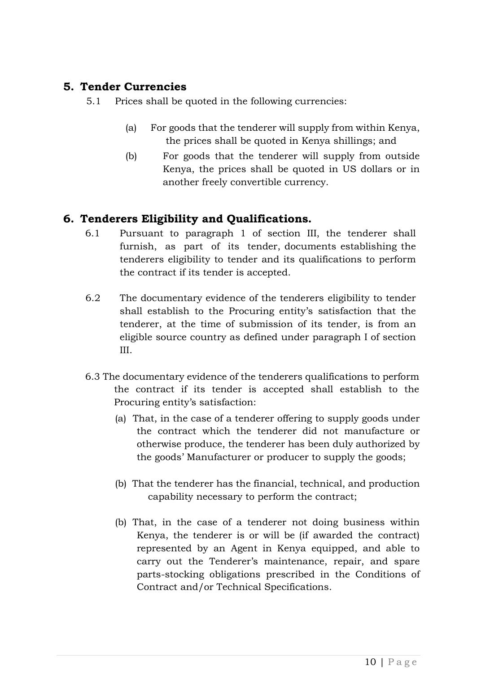#### <span id="page-9-0"></span>**5. Tender Currencies**

5.1 Prices shall be quoted in the following currencies:

- (a) For goods that the tenderer will supply from within Kenya, the prices shall be quoted in Kenya shillings; and
- (b) For goods that the tenderer will supply from outside Kenya, the prices shall be quoted in US dollars or in another freely convertible currency.

## <span id="page-9-1"></span>**6. Tenderers Eligibility and Qualifications.**

- 6.1 Pursuant to paragraph 1 of section III, the tenderer shall furnish, as part of its tender, documents establishing the tenderers eligibility to tender and its qualifications to perform the contract if its tender is accepted.
- 6.2 The documentary evidence of the tenderers eligibility to tender shall establish to the Procuring entity's satisfaction that the tenderer, at the time of submission of its tender, is from an eligible source country as defined under paragraph I of section III.
- 6.3 The documentary evidence of the tenderers qualifications to perform the contract if its tender is accepted shall establish to the Procuring entity's satisfaction:
	- (a) That, in the case of a tenderer offering to supply goods under the contract which the tenderer did not manufacture or otherwise produce, the tenderer has been duly authorized by the goods' Manufacturer or producer to supply the goods;
	- (b) That the tenderer has the financial, technical, and production capability necessary to perform the contract;
	- (b) That, in the case of a tenderer not doing business within Kenya, the tenderer is or will be (if awarded the contract) represented by an Agent in Kenya equipped, and able to carry out the Tenderer's maintenance, repair, and spare parts-stocking obligations prescribed in the Conditions of Contract and/or Technical Specifications.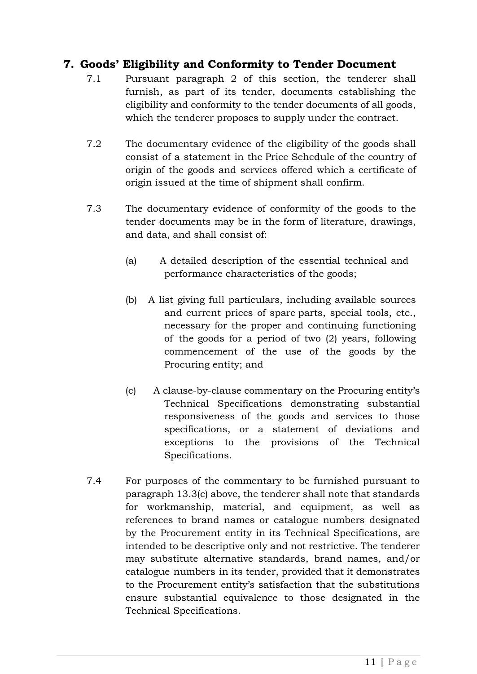## <span id="page-10-0"></span>**7. Goods' Eligibility and Conformity to Tender Document**

- 7.1 Pursuant paragraph 2 of this section, the tenderer shall furnish, as part of its tender, documents establishing the eligibility and conformity to the tender documents of all goods, which the tenderer proposes to supply under the contract.
- 7.2 The documentary evidence of the eligibility of the goods shall consist of a statement in the Price Schedule of the country of origin of the goods and services offered which a certificate of origin issued at the time of shipment shall confirm.
- 7.3 The documentary evidence of conformity of the goods to the tender documents may be in the form of literature, drawings, and data, and shall consist of:
	- (a) A detailed description of the essential technical and performance characteristics of the goods;
	- (b) A list giving full particulars, including available sources and current prices of spare parts, special tools, etc., necessary for the proper and continuing functioning of the goods for a period of two (2) years, following commencement of the use of the goods by the Procuring entity; and
	- (c) A clause-by-clause commentary on the Procuring entity's Technical Specifications demonstrating substantial responsiveness of the goods and services to those specifications, or a statement of deviations and exceptions to the provisions of the Technical Specifications.
- 7.4 For purposes of the commentary to be furnished pursuant to paragraph 13.3(c) above, the tenderer shall note that standards for workmanship, material, and equipment, as well as references to brand names or catalogue numbers designated by the Procurement entity in its Technical Specifications, are intended to be descriptive only and not restrictive. The tenderer may substitute alternative standards, brand names, and/or catalogue numbers in its tender, provided that it demonstrates to the Procurement entity's satisfaction that the substitutions ensure substantial equivalence to those designated in the Technical Specifications.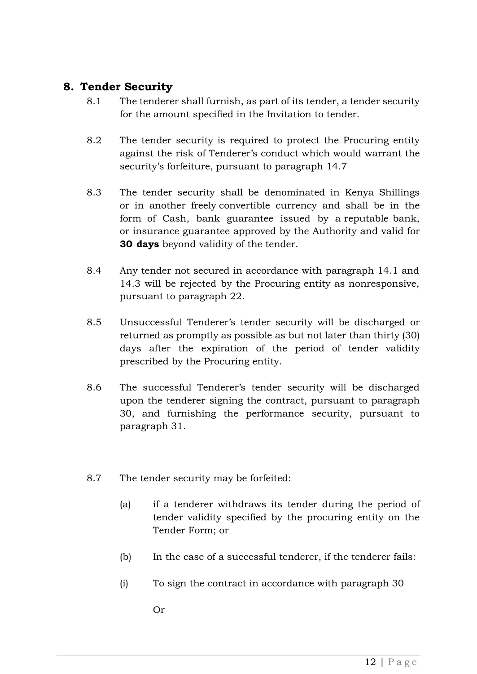#### <span id="page-11-0"></span>**8. Tender Security**

- 8.1 The tenderer shall furnish, as part of its tender, a tender security for the amount specified in the Invitation to tender.
- 8.2 The tender security is required to protect the Procuring entity against the risk of Tenderer's conduct which would warrant the security's forfeiture, pursuant to paragraph 14.7
- 8.3 The tender security shall be denominated in Kenya Shillings or in another freely convertible currency and shall be in the form of Cash, bank guarantee issued by a reputable bank, or insurance guarantee approved by the Authority and valid for **30 days** beyond validity of the tender.
- 8.4 Any tender not secured in accordance with paragraph 14.1 and 14.3 will be rejected by the Procuring entity as nonresponsive, pursuant to paragraph 22.
- 8.5 Unsuccessful Tenderer's tender security will be discharged or returned as promptly as possible as but not later than thirty (30) days after the expiration of the period of tender validity prescribed by the Procuring entity.
- 8.6 The successful Tenderer's tender security will be discharged upon the tenderer signing the contract, pursuant to paragraph 30, and furnishing the performance security, pursuant to paragraph 31.
- 8.7 The tender security may be forfeited:
	- (a) if a tenderer withdraws its tender during the period of tender validity specified by the procuring entity on the Tender Form; or
	- (b) In the case of a successful tenderer, if the tenderer fails:
	- (i) To sign the contract in accordance with paragraph 30

Or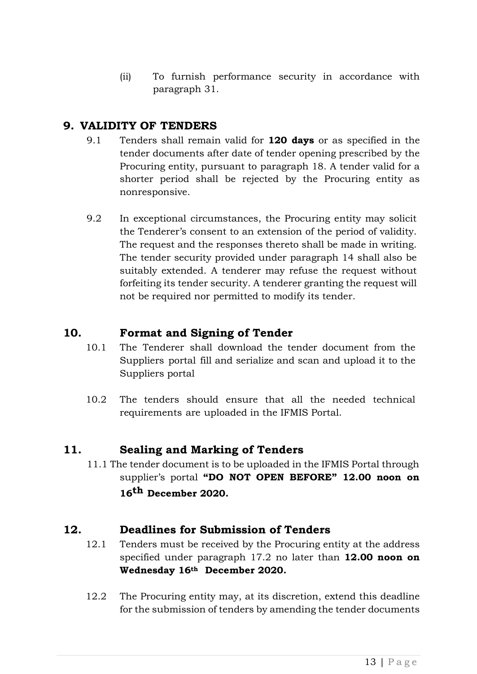(ii) To furnish performance security in accordance with paragraph 31.

## <span id="page-12-0"></span>**9. VALIDITY OF TENDERS**

- 9.1 Tenders shall remain valid for **120 days** or as specified in the tender documents after date of tender opening prescribed by the Procuring entity, pursuant to paragraph 18. A tender valid for a shorter period shall be rejected by the Procuring entity as nonresponsive.
- 9.2 In exceptional circumstances, the Procuring entity may solicit the Tenderer's consent to an extension of the period of validity. The request and the responses thereto shall be made in writing. The tender security provided under paragraph 14 shall also be suitably extended. A tenderer may refuse the request without forfeiting its tender security. A tenderer granting the request will not be required nor permitted to modify its tender.

## <span id="page-12-1"></span>**10. Format and Signing of Tender**

- 10.1 The Tenderer shall download the tender document from the Suppliers portal fill and serialize and scan and upload it to the Suppliers portal
- 10.2 The tenders should ensure that all the needed technical requirements are uploaded in the IFMIS Portal.

## <span id="page-12-2"></span>**11. Sealing and Marking of Tenders**

11.1 The tender document is to be uploaded in the IFMIS Portal through supplier's portal **"DO NOT OPEN BEFORE" 12.00 noon on 16th December 2020.**

## <span id="page-12-3"></span>**12. Deadlines for Submission of Tenders**

- 12.1 Tenders must be received by the Procuring entity at the address specified under paragraph 17.2 no later than **12.00 noon on Wednesday 16th December 2020.**
- 12.2 The Procuring entity may, at its discretion, extend this deadline for the submission of tenders by amending the tender documents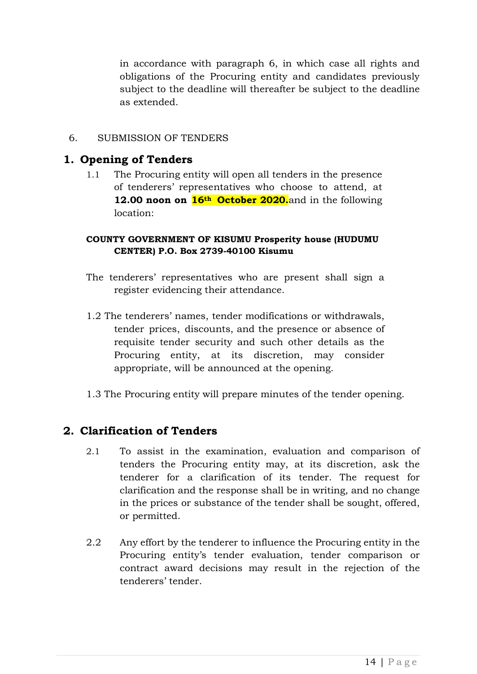in accordance with paragraph 6, in which case all rights and obligations of the Procuring entity and candidates previously subject to the deadline will thereafter be subject to the deadline as extended.

#### <span id="page-13-0"></span>6. SUBMISSION OF TENDERS

#### <span id="page-13-1"></span>**1. Opening of Tenders**

1.1 The Procuring entity will open all tenders in the presence of tenderers' representatives who choose to attend, at **12.00 noon on 16th October 2020.**and in the following location:

#### **COUNTY GOVERNMENT OF KISUMU Prosperity house (HUDUMU CENTER) P.O. Box 2739-40100 Kisumu**

- The tenderers' representatives who are present shall sign a register evidencing their attendance.
- 1.2 The tenderers' names, tender modifications or withdrawals, tender prices, discounts, and the presence or absence of requisite tender security and such other details as the Procuring entity, at its discretion, may consider appropriate, will be announced at the opening.
- 1.3 The Procuring entity will prepare minutes of the tender opening.

## <span id="page-13-2"></span>**2. Clarification of Tenders**

- 2.1 To assist in the examination, evaluation and comparison of tenders the Procuring entity may, at its discretion, ask the tenderer for a clarification of its tender. The request for clarification and the response shall be in writing, and no change in the prices or substance of the tender shall be sought, offered, or permitted.
- 2.2 Any effort by the tenderer to influence the Procuring entity in the Procuring entity's tender evaluation, tender comparison or contract award decisions may result in the rejection of the tenderers' tender.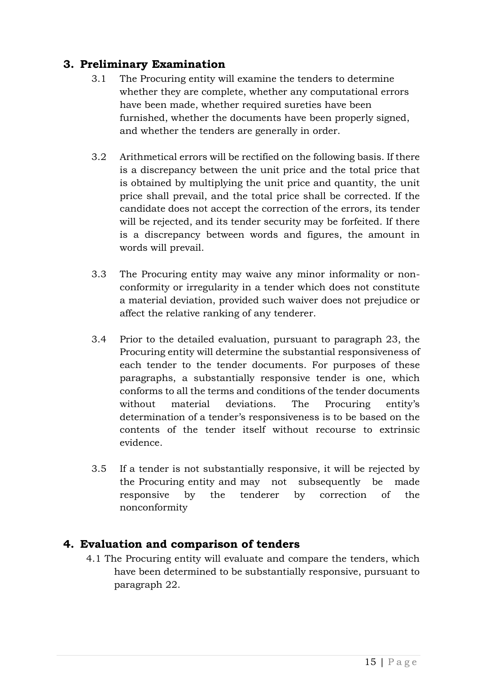## <span id="page-14-0"></span>**3. Preliminary Examination**

- 3.1 The Procuring entity will examine the tenders to determine whether they are complete, whether any computational errors have been made, whether required sureties have been furnished, whether the documents have been properly signed, and whether the tenders are generally in order.
- 3.2 Arithmetical errors will be rectified on the following basis. If there is a discrepancy between the unit price and the total price that is obtained by multiplying the unit price and quantity, the unit price shall prevail, and the total price shall be corrected. If the candidate does not accept the correction of the errors, its tender will be rejected, and its tender security may be forfeited. If there is a discrepancy between words and figures, the amount in words will prevail.
- 3.3 The Procuring entity may waive any minor informality or nonconformity or irregularity in a tender which does not constitute a material deviation, provided such waiver does not prejudice or affect the relative ranking of any tenderer.
- 3.4 Prior to the detailed evaluation, pursuant to paragraph 23, the Procuring entity will determine the substantial responsiveness of each tender to the tender documents. For purposes of these paragraphs, a substantially responsive tender is one, which conforms to all the terms and conditions of the tender documents without material deviations. The Procuring entity's determination of a tender's responsiveness is to be based on the contents of the tender itself without recourse to extrinsic evidence.
- 3.5 If a tender is not substantially responsive, it will be rejected by the Procuring entity and may not subsequently be made responsive by the tenderer by correction of the nonconformity

## <span id="page-14-1"></span>**4. Evaluation and comparison of tenders**

4.1 The Procuring entity will evaluate and compare the tenders, which have been determined to be substantially responsive, pursuant to paragraph 22.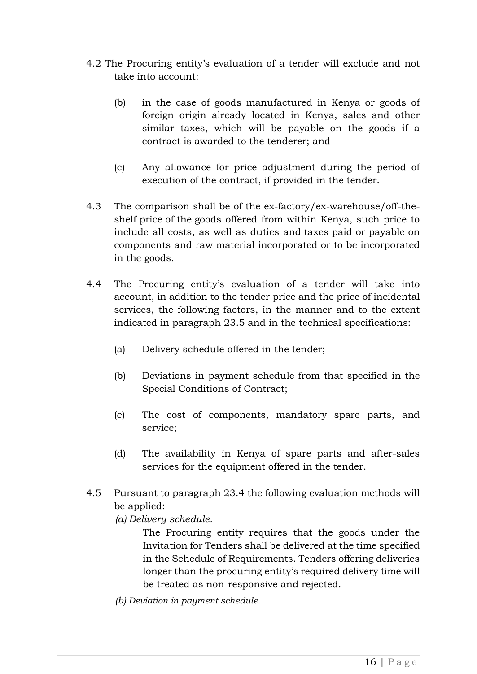- 4.2 The Procuring entity's evaluation of a tender will exclude and not take into account:
	- (b) in the case of goods manufactured in Kenya or goods of foreign origin already located in Kenya, sales and other similar taxes, which will be payable on the goods if a contract is awarded to the tenderer; and
	- (c) Any allowance for price adjustment during the period of execution of the contract, if provided in the tender.
- 4.3 The comparison shall be of the ex-factory/ex-warehouse/off-theshelf price of the goods offered from within Kenya, such price to include all costs, as well as duties and taxes paid or payable on components and raw material incorporated or to be incorporated in the goods.
- 4.4 The Procuring entity's evaluation of a tender will take into account, in addition to the tender price and the price of incidental services, the following factors, in the manner and to the extent indicated in paragraph 23.5 and in the technical specifications:
	- (a) Delivery schedule offered in the tender;
	- (b) Deviations in payment schedule from that specified in the Special Conditions of Contract;
	- (c) The cost of components, mandatory spare parts, and service;
	- (d) The availability in Kenya of spare parts and after-sales services for the equipment offered in the tender.
- 4.5 Pursuant to paragraph 23.4 the following evaluation methods will be applied:
	- *(a) Delivery schedule.*

The Procuring entity requires that the goods under the Invitation for Tenders shall be delivered at the time specified in the Schedule of Requirements. Tenders offering deliveries longer than the procuring entity's required delivery time will be treated as non-responsive and rejected.

*(b) Deviation in payment schedule.*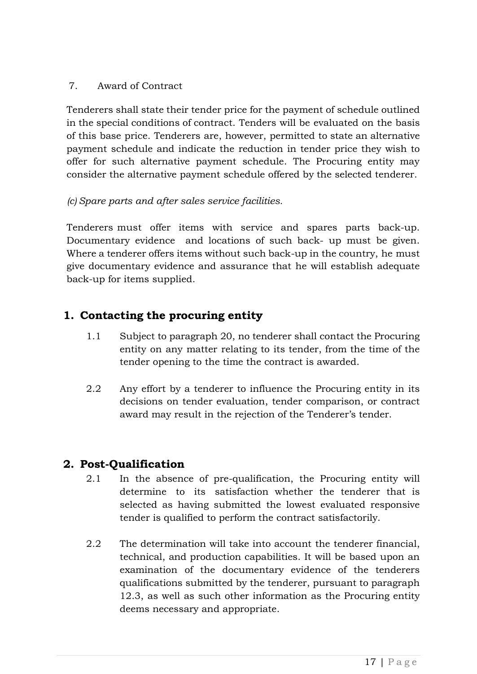#### <span id="page-16-0"></span>7. Award of Contract

Tenderers shall state their tender price for the payment of schedule outlined in the special conditions of contract. Tenders will be evaluated on the basis of this base price. Tenderers are, however, permitted to state an alternative payment schedule and indicate the reduction in tender price they wish to offer for such alternative payment schedule. The Procuring entity may consider the alternative payment schedule offered by the selected tenderer.

#### *(c) Spare parts and after sales service facilities.*

Tenderers must offer items with service and spares parts back-up. Documentary evidence and locations of such back- up must be given. Where a tenderer offers items without such back-up in the country, he must give documentary evidence and assurance that he will establish adequate back-up for items supplied.

## <span id="page-16-1"></span>**1. Contacting the procuring entity**

- 1.1 Subject to paragraph 20, no tenderer shall contact the Procuring entity on any matter relating to its tender, from the time of the tender opening to the time the contract is awarded.
- 2.2 Any effort by a tenderer to influence the Procuring entity in its decisions on tender evaluation, tender comparison, or contract award may result in the rejection of the Tenderer's tender.

## <span id="page-16-2"></span>**2. Post-Qualification**

- 2.1 In the absence of pre-qualification, the Procuring entity will determine to its satisfaction whether the tenderer that is selected as having submitted the lowest evaluated responsive tender is qualified to perform the contract satisfactorily.
- 2.2 The determination will take into account the tenderer financial, technical, and production capabilities. It will be based upon an examination of the documentary evidence of the tenderers qualifications submitted by the tenderer, pursuant to paragraph 12.3, as well as such other information as the Procuring entity deems necessary and appropriate.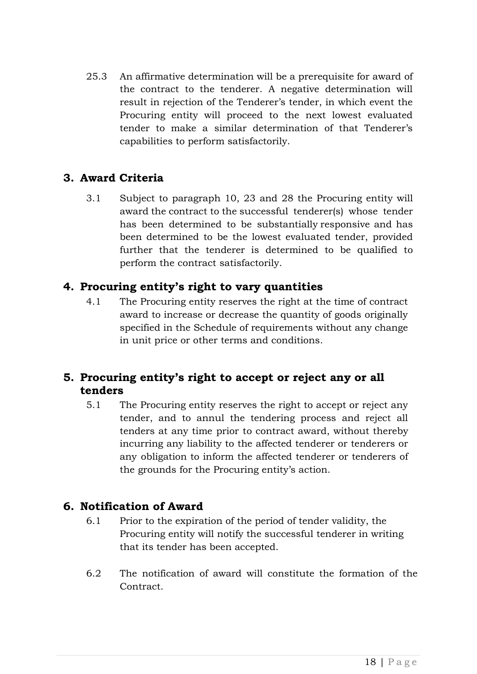25.3 An affirmative determination will be a prerequisite for award of the contract to the tenderer. A negative determination will result in rejection of the Tenderer's tender, in which event the Procuring entity will proceed to the next lowest evaluated tender to make a similar determination of that Tenderer's capabilities to perform satisfactorily.

## <span id="page-17-0"></span>**3. Award Criteria**

3.1 Subject to paragraph 10, 23 and 28 the Procuring entity will award the contract to the successful tenderer(s) whose tender has been determined to be substantially responsive and has been determined to be the lowest evaluated tender, provided further that the tenderer is determined to be qualified to perform the contract satisfactorily.

#### <span id="page-17-1"></span>**4. Procuring entity's right to vary quantities**

4.1 The Procuring entity reserves the right at the time of contract award to increase or decrease the quantity of goods originally specified in the Schedule of requirements without any change in unit price or other terms and conditions.

## <span id="page-17-2"></span>**5. Procuring entity's right to accept or reject any or all tenders**

5.1 The Procuring entity reserves the right to accept or reject any tender, and to annul the tendering process and reject all tenders at any time prior to contract award, without thereby incurring any liability to the affected tenderer or tenderers or any obligation to inform the affected tenderer or tenderers of the grounds for the Procuring entity's action.

#### <span id="page-17-3"></span>**6. Notification of Award**

- 6.1 Prior to the expiration of the period of tender validity, the Procuring entity will notify the successful tenderer in writing that its tender has been accepted.
- 6.2 The notification of award will constitute the formation of the Contract.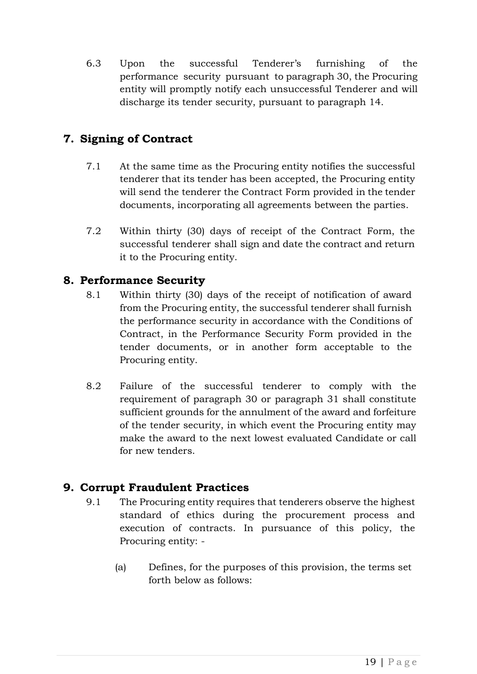6.3 Upon the successful Tenderer's furnishing of the performance security pursuant to paragraph 30, the Procuring entity will promptly notify each unsuccessful Tenderer and will discharge its tender security, pursuant to paragraph 14.

## <span id="page-18-0"></span>**7. Signing of Contract**

- 7.1 At the same time as the Procuring entity notifies the successful tenderer that its tender has been accepted, the Procuring entity will send the tenderer the Contract Form provided in the tender documents, incorporating all agreements between the parties.
- 7.2 Within thirty (30) days of receipt of the Contract Form, the successful tenderer shall sign and date the contract and return it to the Procuring entity.

#### <span id="page-18-1"></span>**8. Performance Security**

- 8.1 Within thirty (30) days of the receipt of notification of award from the Procuring entity, the successful tenderer shall furnish the performance security in accordance with the Conditions of Contract, in the Performance Security Form provided in the tender documents, or in another form acceptable to the Procuring entity.
- 8.2 Failure of the successful tenderer to comply with the requirement of paragraph 30 or paragraph 31 shall constitute sufficient grounds for the annulment of the award and forfeiture of the tender security, in which event the Procuring entity may make the award to the next lowest evaluated Candidate or call for new tenders.

## <span id="page-18-2"></span>**9. Corrupt Fraudulent Practices**

- 9.1 The Procuring entity requires that tenderers observe the highest standard of ethics during the procurement process and execution of contracts. In pursuance of this policy, the Procuring entity: -
	- (a) Defines, for the purposes of this provision, the terms set forth below as follows: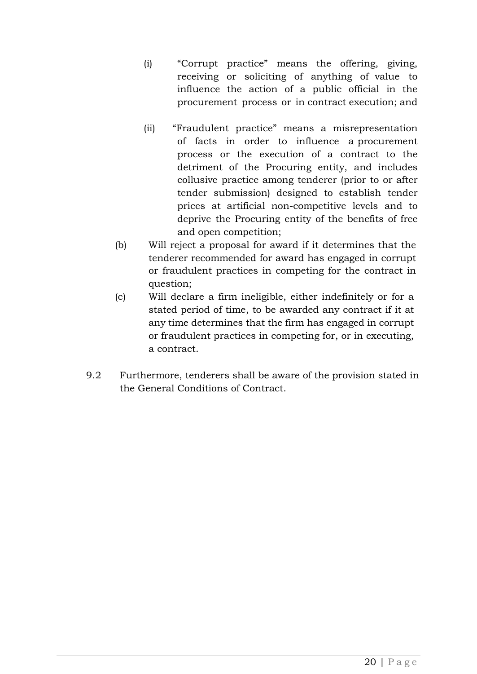- (i) "Corrupt practice" means the offering, giving, receiving or soliciting of anything of value to influence the action of a public official in the procurement process or in contract execution; and
- (ii) "Fraudulent practice" means a misrepresentation of facts in order to influence a procurement process or the execution of a contract to the detriment of the Procuring entity, and includes collusive practice among tenderer (prior to or after tender submission) designed to establish tender prices at artificial non-competitive levels and to deprive the Procuring entity of the benefits of free and open competition;
- (b) Will reject a proposal for award if it determines that the tenderer recommended for award has engaged in corrupt or fraudulent practices in competing for the contract in question;
- (c) Will declare a firm ineligible, either indefinitely or for a stated period of time, to be awarded any contract if it at any time determines that the firm has engaged in corrupt or fraudulent practices in competing for, or in executing, a contract.
- 9.2 Furthermore, tenderers shall be aware of the provision stated in the General Conditions of Contract.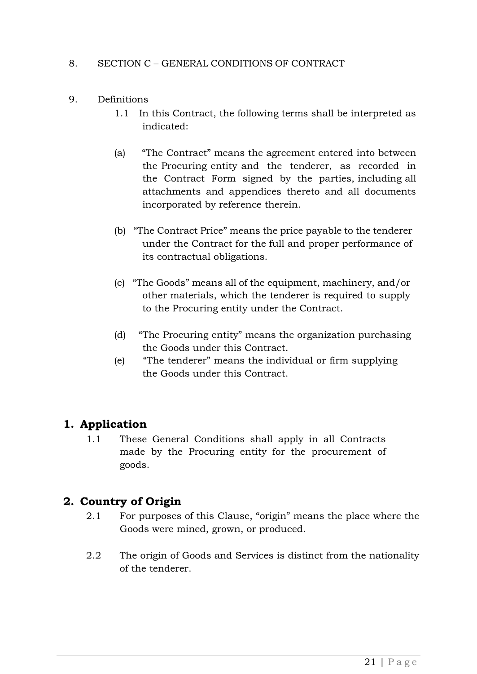#### <span id="page-20-0"></span>8. SECTION C – GENERAL CONDITIONS OF CONTRACT

- <span id="page-20-1"></span>9. Definitions
	- 1.1 In this Contract, the following terms shall be interpreted as indicated:
	- (a) "The Contract" means the agreement entered into between the Procuring entity and the tenderer, as recorded in the Contract Form signed by the parties, including all attachments and appendices thereto and all documents incorporated by reference therein.
	- (b) "The Contract Price" means the price payable to the tenderer under the Contract for the full and proper performance of its contractual obligations.
	- (c) "The Goods" means all of the equipment, machinery, and/or other materials, which the tenderer is required to supply to the Procuring entity under the Contract.
	- (d) "The Procuring entity" means the organization purchasing the Goods under this Contract.
	- (e) "The tenderer" means the individual or firm supplying the Goods under this Contract.

#### <span id="page-20-2"></span>**1. Application**

1.1 These General Conditions shall apply in all Contracts made by the Procuring entity for the procurement of goods.

#### <span id="page-20-3"></span>**2. Country of Origin**

- 2.1 For purposes of this Clause, "origin" means the place where the Goods were mined, grown, or produced.
- 2.2 The origin of Goods and Services is distinct from the nationality of the tenderer.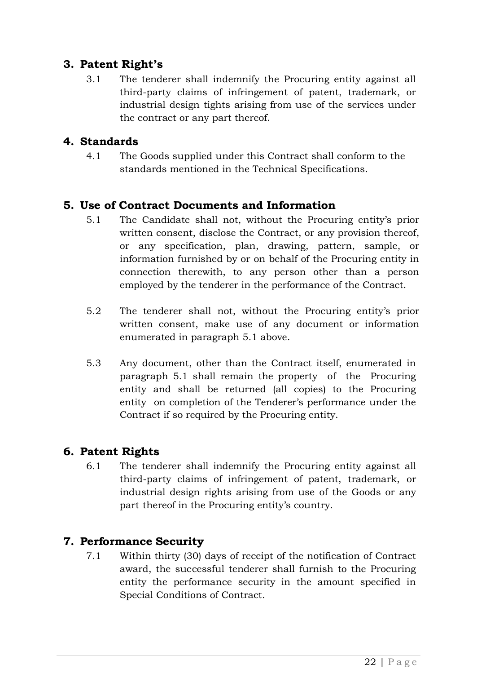## <span id="page-21-0"></span>**3. Patent Right's**

3.1 The tenderer shall indemnify the Procuring entity against all third-party claims of infringement of patent, trademark, or industrial design tights arising from use of the services under the contract or any part thereof.

## <span id="page-21-1"></span>**4. Standards**

4.1 The Goods supplied under this Contract shall conform to the standards mentioned in the Technical Specifications.

#### <span id="page-21-2"></span>**5. Use of Contract Documents and Information**

- 5.1 The Candidate shall not, without the Procuring entity's prior written consent, disclose the Contract, or any provision thereof, or any specification, plan, drawing, pattern, sample, or information furnished by or on behalf of the Procuring entity in connection therewith, to any person other than a person employed by the tenderer in the performance of the Contract.
- 5.2 The tenderer shall not, without the Procuring entity's prior written consent, make use of any document or information enumerated in paragraph 5.1 above.
- 5.3 Any document, other than the Contract itself, enumerated in paragraph 5.1 shall remain the property of the Procuring entity and shall be returned (all copies) to the Procuring entity on completion of the Tenderer's performance under the Contract if so required by the Procuring entity.

#### <span id="page-21-3"></span>**6. Patent Rights**

6.1 The tenderer shall indemnify the Procuring entity against all third-party claims of infringement of patent, trademark, or industrial design rights arising from use of the Goods or any part thereof in the Procuring entity's country.

#### <span id="page-21-4"></span>**7. Performance Security**

7.1 Within thirty (30) days of receipt of the notification of Contract award, the successful tenderer shall furnish to the Procuring entity the performance security in the amount specified in Special Conditions of Contract.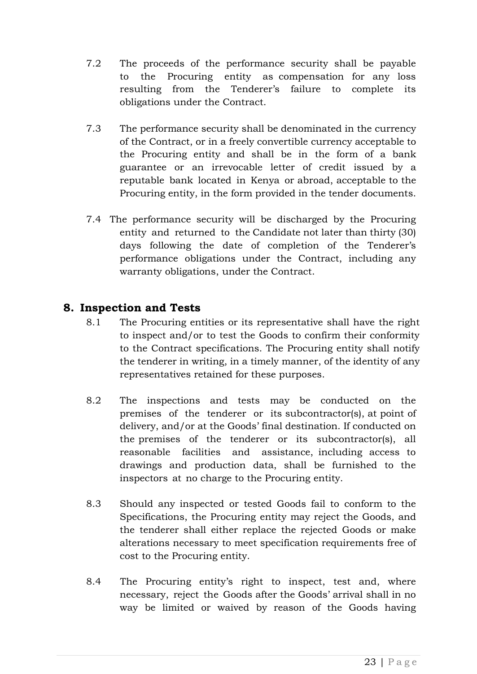- 7.2 The proceeds of the performance security shall be payable to the Procuring entity as compensation for any loss resulting from the Tenderer's failure to complete its obligations under the Contract.
- 7.3 The performance security shall be denominated in the currency of the Contract, or in a freely convertible currency acceptable to the Procuring entity and shall be in the form of a bank guarantee or an irrevocable letter of credit issued by a reputable bank located in Kenya or abroad, acceptable to the Procuring entity, in the form provided in the tender documents.
- 7.4 The performance security will be discharged by the Procuring entity and returned to the Candidate not later than thirty (30) days following the date of completion of the Tenderer's performance obligations under the Contract, including any warranty obligations, under the Contract.

#### <span id="page-22-0"></span>**8. Inspection and Tests**

- 8.1 The Procuring entities or its representative shall have the right to inspect and/or to test the Goods to confirm their conformity to the Contract specifications. The Procuring entity shall notify the tenderer in writing, in a timely manner, of the identity of any representatives retained for these purposes.
- 8.2 The inspections and tests may be conducted on the premises of the tenderer or its subcontractor(s), at point of delivery, and/or at the Goods' final destination. If conducted on the premises of the tenderer or its subcontractor(s), all reasonable facilities and assistance, including access to drawings and production data, shall be furnished to the inspectors at no charge to the Procuring entity.
- 8.3 Should any inspected or tested Goods fail to conform to the Specifications, the Procuring entity may reject the Goods, and the tenderer shall either replace the rejected Goods or make alterations necessary to meet specification requirements free of cost to the Procuring entity.
- 8.4 The Procuring entity's right to inspect, test and, where necessary, reject the Goods after the Goods' arrival shall in no way be limited or waived by reason of the Goods having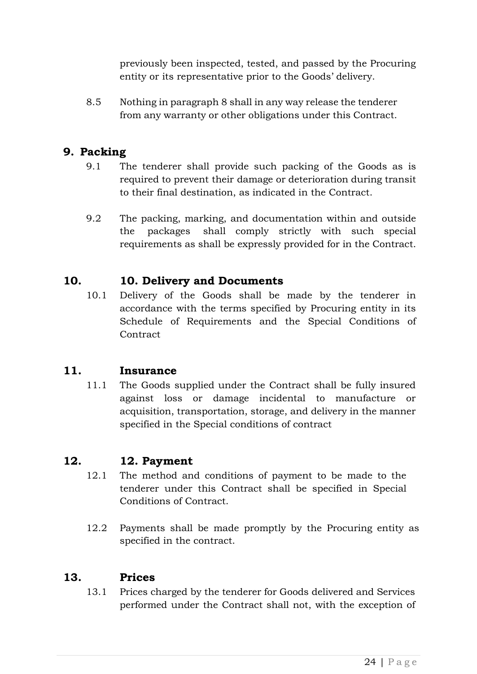previously been inspected, tested, and passed by the Procuring entity or its representative prior to the Goods' delivery.

8.5 Nothing in paragraph 8 shall in any way release the tenderer from any warranty or other obligations under this Contract.

#### <span id="page-23-0"></span>**9. Packing**

- 9.1 The tenderer shall provide such packing of the Goods as is required to prevent their damage or deterioration during transit to their final destination, as indicated in the Contract.
- 9.2 The packing, marking, and documentation within and outside the packages shall comply strictly with such special requirements as shall be expressly provided for in the Contract.

## <span id="page-23-1"></span>**10. 10. Delivery and Documents**

10.1 Delivery of the Goods shall be made by the tenderer in accordance with the terms specified by Procuring entity in its Schedule of Requirements and the Special Conditions of **Contract** 

#### <span id="page-23-2"></span>**11. Insurance**

11.1 The Goods supplied under the Contract shall be fully insured against loss or damage incidental to manufacture or acquisition, transportation, storage, and delivery in the manner specified in the Special conditions of contract

#### <span id="page-23-3"></span>**12. 12. Payment**

- 12.1 The method and conditions of payment to be made to the tenderer under this Contract shall be specified in Special Conditions of Contract.
- 12.2 Payments shall be made promptly by the Procuring entity as specified in the contract.

#### <span id="page-23-4"></span>**13. Prices**

13.1 Prices charged by the tenderer for Goods delivered and Services performed under the Contract shall not, with the exception of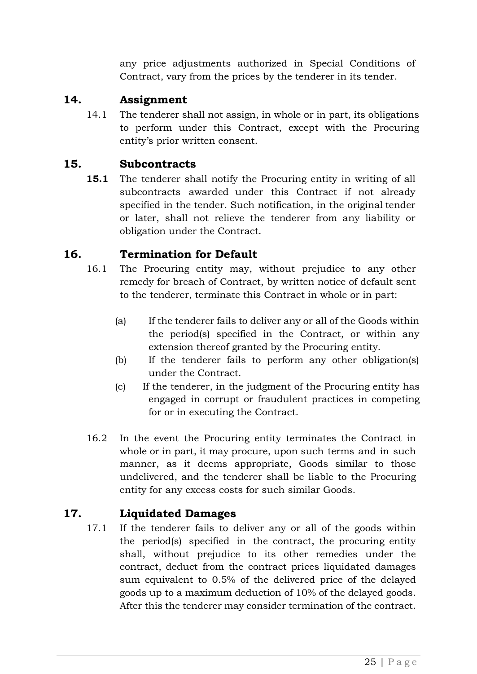any price adjustments authorized in Special Conditions of Contract, vary from the prices by the tenderer in its tender.

#### <span id="page-24-0"></span>**14. Assignment**

14.1 The tenderer shall not assign, in whole or in part, its obligations to perform under this Contract, except with the Procuring entity's prior written consent.

## <span id="page-24-1"></span>**15. Subcontracts**

**15.1** The tenderer shall notify the Procuring entity in writing of all subcontracts awarded under this Contract if not already specified in the tender. Such notification, in the original tender or later, shall not relieve the tenderer from any liability or obligation under the Contract.

## <span id="page-24-2"></span>**16. Termination for Default**

- 16.1 The Procuring entity may, without prejudice to any other remedy for breach of Contract, by written notice of default sent to the tenderer, terminate this Contract in whole or in part:
	- (a) If the tenderer fails to deliver any or all of the Goods within the period(s) specified in the Contract, or within any extension thereof granted by the Procuring entity.
	- (b) If the tenderer fails to perform any other obligation(s) under the Contract.
	- (c) If the tenderer, in the judgment of the Procuring entity has engaged in corrupt or fraudulent practices in competing for or in executing the Contract.
- 16.2 In the event the Procuring entity terminates the Contract in whole or in part, it may procure, upon such terms and in such manner, as it deems appropriate, Goods similar to those undelivered, and the tenderer shall be liable to the Procuring entity for any excess costs for such similar Goods.

## <span id="page-24-3"></span>**17. Liquidated Damages**

17.1 If the tenderer fails to deliver any or all of the goods within the period(s) specified in the contract, the procuring entity shall, without prejudice to its other remedies under the contract, deduct from the contract prices liquidated damages sum equivalent to 0.5% of the delivered price of the delayed goods up to a maximum deduction of 10% of the delayed goods. After this the tenderer may consider termination of the contract.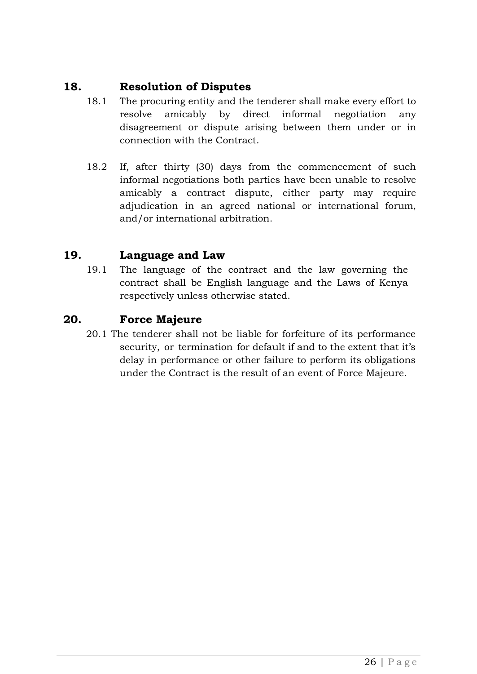#### <span id="page-25-0"></span>**18. Resolution of Disputes**

- 18.1 The procuring entity and the tenderer shall make every effort to resolve amicably by direct informal negotiation any disagreement or dispute arising between them under or in connection with the Contract.
- 18.2 If, after thirty (30) days from the commencement of such informal negotiations both parties have been unable to resolve amicably a contract dispute, either party may require adjudication in an agreed national or international forum, and/or international arbitration.

#### <span id="page-25-1"></span>**19. Language and Law**

19.1 The language of the contract and the law governing the contract shall be English language and the Laws of Kenya respectively unless otherwise stated.

#### <span id="page-25-2"></span>**20. Force Majeure**

20.1 The tenderer shall not be liable for forfeiture of its performance security, or termination for default if and to the extent that it's delay in performance or other failure to perform its obligations under the Contract is the result of an event of Force Majeure.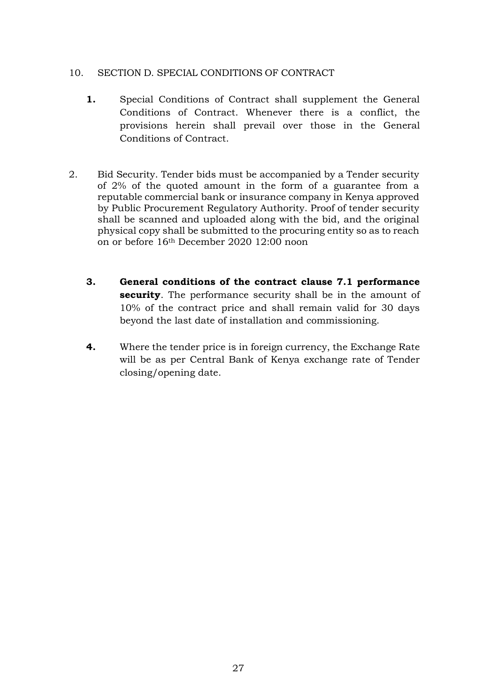#### <span id="page-26-0"></span>10. SECTION D. SPECIAL CONDITIONS OF CONTRACT

- **1.** Special Conditions of Contract shall supplement the General Conditions of Contract. Whenever there is a conflict, the provisions herein shall prevail over those in the General Conditions of Contract.
- 2. Bid Security. Tender bids must be accompanied by a Tender security of 2% of the quoted amount in the form of a guarantee from a reputable commercial bank or insurance company in Kenya approved by Public Procurement Regulatory Authority. Proof of tender security shall be scanned and uploaded along with the bid, and the original physical copy shall be submitted to the procuring entity so as to reach on or before 16th December 2020 12:00 noon
	- **3. General conditions of the contract clause 7.1 performance security**. The performance security shall be in the amount of 10% of the contract price and shall remain valid for 30 days beyond the last date of installation and commissioning.
	- **4.** Where the tender price is in foreign currency, the Exchange Rate will be as per Central Bank of Kenya exchange rate of Tender closing/opening date.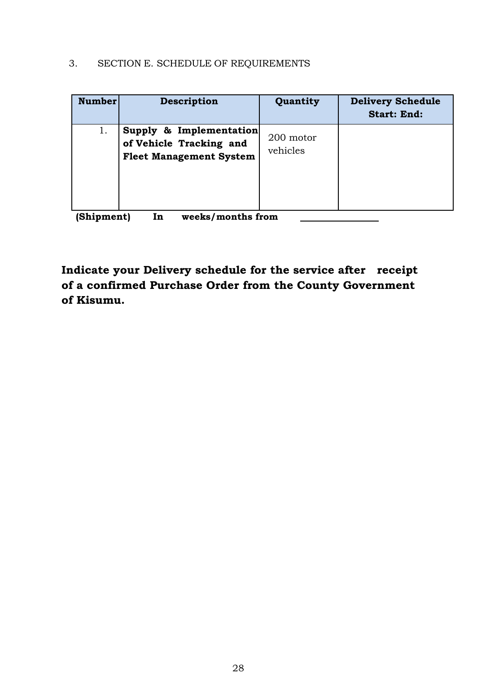## <span id="page-27-0"></span>3. SECTION E. SCHEDULE OF REQUIREMENTS

| <b>Number</b> | Description                                                                          | Quantity              | <b>Delivery Schedule</b><br><b>Start: End:</b> |
|---------------|--------------------------------------------------------------------------------------|-----------------------|------------------------------------------------|
| 1.            | Supply & Implementation<br>of Vehicle Tracking and<br><b>Fleet Management System</b> | 200 motor<br>vehicles |                                                |

**(Shipment) In weeks/months from** 

**Indicate your Delivery schedule for the service after receipt of a confirmed Purchase Order from the County Government of Kisumu.**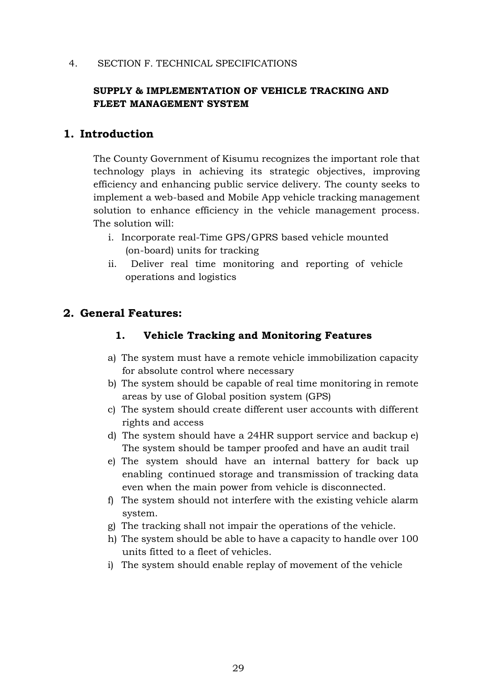#### <span id="page-28-0"></span>4. SECTION F. TECHNICAL SPECIFICATIONS

#### **SUPPLY & IMPLEMENTATION OF VEHICLE TRACKING AND FLEET MANAGEMENT SYSTEM**

#### <span id="page-28-1"></span>**1. Introduction**

The County Government of Kisumu recognizes the important role that technology plays in achieving its strategic objectives, improving efficiency and enhancing public service delivery. The county seeks to implement a web-based and Mobile App vehicle tracking management solution to enhance efficiency in the vehicle management process. The solution will:

- i. Incorporate real-Time GPS/GPRS based vehicle mounted (on-board) units for tracking
- ii. Deliver real time monitoring and reporting of vehicle operations and logistics

#### <span id="page-28-3"></span><span id="page-28-2"></span>**2. General Features:**

#### **1. Vehicle Tracking and Monitoring Features**

- a) The system must have a remote vehicle immobilization capacity for absolute control where necessary
- b) The system should be capable of real time monitoring in remote areas by use of Global position system (GPS)
- c) The system should create different user accounts with different rights and access
- d) The system should have a 24HR support service and backup e) The system should be tamper proofed and have an audit trail
- e) The system should have an internal battery for back up enabling continued storage and transmission of tracking data even when the main power from vehicle is disconnected.
- f) The system should not interfere with the existing vehicle alarm system.
- g) The tracking shall not impair the operations of the vehicle.
- h) The system should be able to have a capacity to handle over 100 units fitted to a fleet of vehicles.
- i) The system should enable replay of movement of the vehicle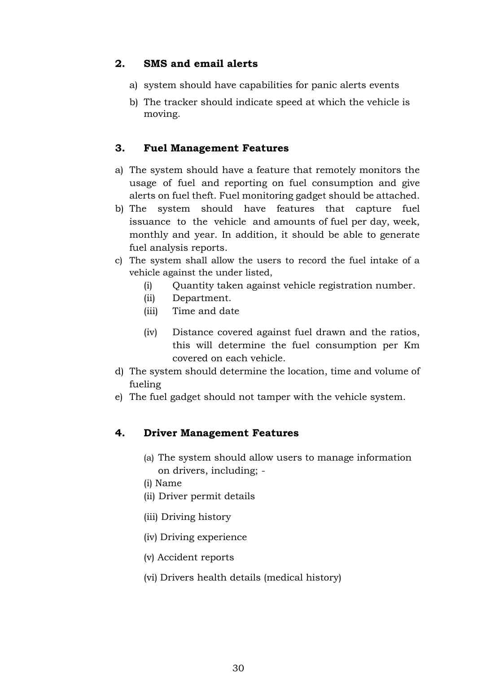#### <span id="page-29-0"></span>**2. SMS and email alerts**

- a) system should have capabilities for panic alerts events
- b) The tracker should indicate speed at which the vehicle is moving.

#### <span id="page-29-1"></span>**3. Fuel Management Features**

- a) The system should have a feature that remotely monitors the usage of fuel and reporting on fuel consumption and give alerts on fuel theft. Fuel monitoring gadget should be attached.
- b) The system should have features that capture fuel issuance to the vehicle and amounts of fuel per day, week, monthly and year. In addition, it should be able to generate fuel analysis reports.
- c) The system shall allow the users to record the fuel intake of a vehicle against the under listed,
	- (i) Quantity taken against vehicle registration number.
	- (ii) Department.
	- (iii) Time and date
	- (iv) Distance covered against fuel drawn and the ratios, this will determine the fuel consumption per Km covered on each vehicle.
- d) The system should determine the location, time and volume of fueling
- e) The fuel gadget should not tamper with the vehicle system.

#### <span id="page-29-2"></span>**4. Driver Management Features**

- (a) The system should allow users to manage information on drivers, including; -
- (i) Name
- (ii) Driver permit details
- (iii) Driving history
- (iv) Driving experience
- (v) Accident reports
- (vi) Drivers health details (medical history)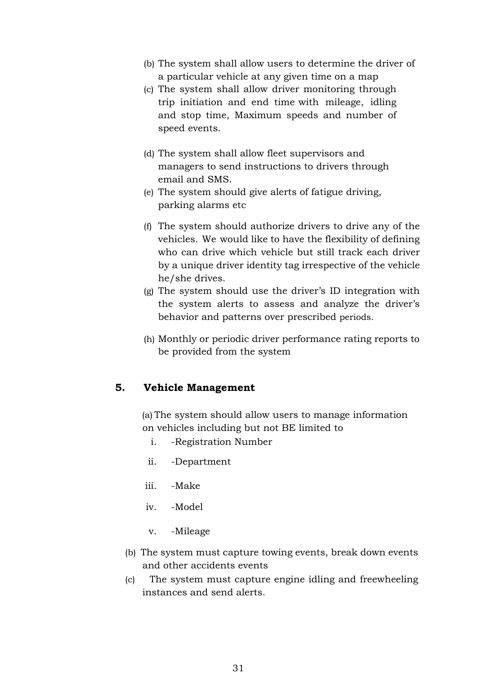- (b) The system shall allow users to determine the driver of a particular vehicle at any given time on a map
- (c) The system shall allow driver monitoring through trip initiation and end time with mileage, idling and stop time, Maximum speeds and number of speed events.
- (d) The system shall allow fleet supervisors and managers to send instructions to drivers through email and SMS.
- (e) The system should give alerts of fatigue driving, parking alarms etc
- (f) The system should authorize drivers to drive any of the vehicles. We would like to have the flexibility of defining who can drive which vehicle but still track each driver by a unique driver identity tag irrespective of the vehicle he/she drives.
- (g) The system should use the driver's ID integration with the system alerts to assess and analyze the driver's behavior and patterns over prescribed periods.
- (h) Monthly or periodic driver performance rating reports to be provided from the system

#### <span id="page-30-0"></span>**5. Vehicle Management**

(a) The system should allow users to manage information on vehicles including but not BE limited to

- i. -Registration Number
- ii. -Department
- iii. -Make
- iv. -Model
- v. -Mileage
- (b) The system must capture towing events, break down events and other accidents events
- (c) The system must capture engine idling and freewheeling instances and send alerts.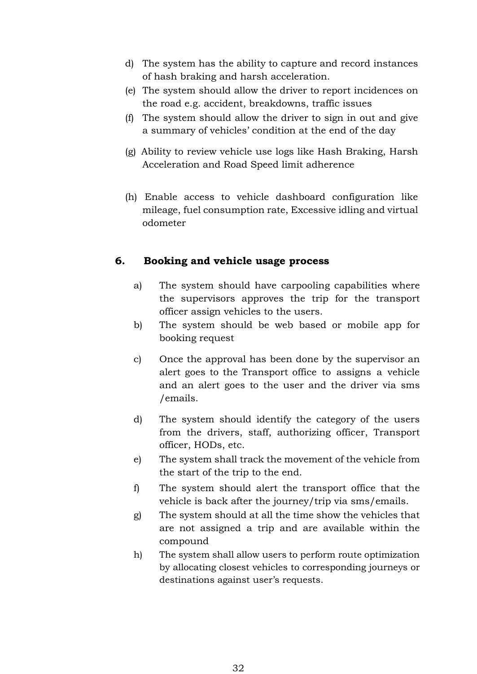- d) The system has the ability to capture and record instances of hash braking and harsh acceleration.
- (e) The system should allow the driver to report incidences on the road e.g. accident, breakdowns, traffic issues
- (f) The system should allow the driver to sign in out and give a summary of vehicles' condition at the end of the day
- (g) Ability to review vehicle use logs like Hash Braking, Harsh Acceleration and Road Speed limit adherence
- (h) Enable access to vehicle dashboard configuration like mileage, fuel consumption rate, Excessive idling and virtual odometer

#### <span id="page-31-0"></span>**6. Booking and vehicle usage process**

- a) The system should have carpooling capabilities where the supervisors approves the trip for the transport officer assign vehicles to the users.
- b) The system should be web based or mobile app for booking request
- c) Once the approval has been done by the supervisor an alert goes to the Transport office to assigns a vehicle and an alert goes to the user and the driver via sms /emails.
- d) The system should identify the category of the users from the drivers, staff, authorizing officer, Transport officer, HODs, etc.
- e) The system shall track the movement of the vehicle from the start of the trip to the end.
- f) The system should alert the transport office that the vehicle is back after the journey/trip via sms/emails.
- g) The system should at all the time show the vehicles that are not assigned a trip and are available within the compound
- h) The system shall allow users to perform route optimization by allocating closest vehicles to corresponding journeys or destinations against user's requests.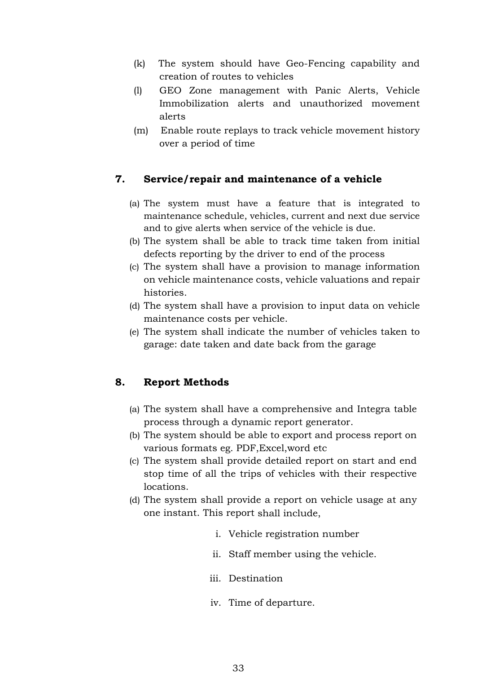- (k) The system should have Geo-Fencing capability and creation of routes to vehicles
- (l) GEO Zone management with Panic Alerts, Vehicle Immobilization alerts and unauthorized movement alerts
- (m) Enable route replays to track vehicle movement history over a period of time

#### <span id="page-32-0"></span>**7. Service/repair and maintenance of a vehicle**

- (a) The system must have a feature that is integrated to maintenance schedule, vehicles, current and next due service and to give alerts when service of the vehicle is due.
- (b) The system shall be able to track time taken from initial defects reporting by the driver to end of the process
- (c) The system shall have a provision to manage information on vehicle maintenance costs, vehicle valuations and repair histories.
- (d) The system shall have a provision to input data on vehicle maintenance costs per vehicle.
- (e) The system shall indicate the number of vehicles taken to garage: date taken and date back from the garage

#### <span id="page-32-1"></span>**8. Report Methods**

- (a) The system shall have a comprehensive and Integra table process through a dynamic report generator.
- (b) The system should be able to export and process report on various formats eg. PDF,Excel,word etc
- (c) The system shall provide detailed report on start and end stop time of all the trips of vehicles with their respective locations.
- (d) The system shall provide a report on vehicle usage at any one instant. This report shall include,
	- i. Vehicle registration number
	- ii. Staff member using the vehicle.
	- iii. Destination
	- iv. Time of departure.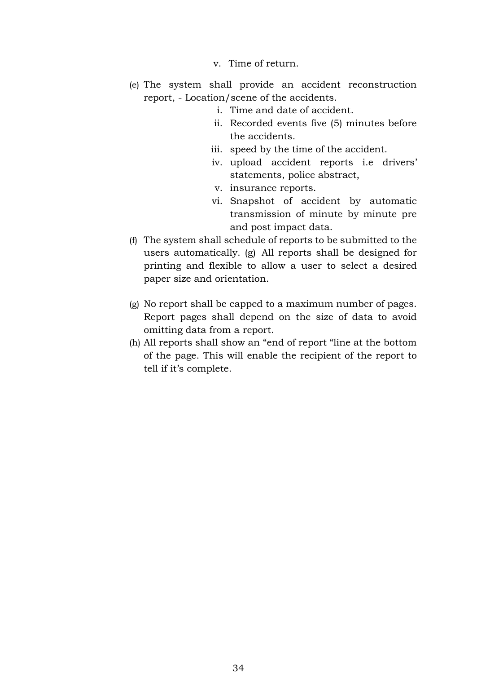- v. Time of return.
- (e) The system shall provide an accident reconstruction report, - Location/scene of the accidents.
	- i. Time and date of accident.
	- ii. Recorded events five (5) minutes before the accidents.
	- iii. speed by the time of the accident.
	- iv. upload accident reports i.e drivers' statements, police abstract,
	- v. insurance reports.
	- vi. Snapshot of accident by automatic transmission of minute by minute pre and post impact data.
- (f) The system shall schedule of reports to be submitted to the users automatically. (g) All reports shall be designed for printing and flexible to allow a user to select a desired paper size and orientation.
- (g) No report shall be capped to a maximum number of pages. Report pages shall depend on the size of data to avoid omitting data from a report.
- (h) All reports shall show an "end of report "line at the bottom of the page. This will enable the recipient of the report to tell if it's complete.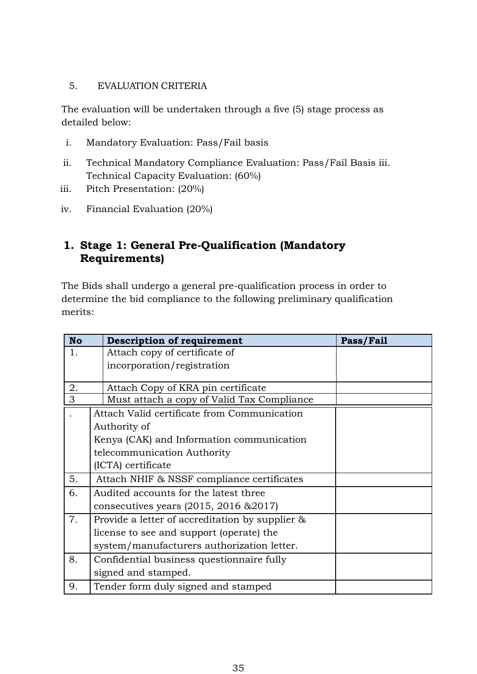#### <span id="page-34-0"></span>5. EVALUATION CRITERIA

The evaluation will be undertaken through a five (5) stage process as detailed below:

- i. Mandatory Evaluation: Pass/Fail basis
- ii. Technical Mandatory Compliance Evaluation: Pass/Fail Basis iii. Technical Capacity Evaluation: (60%)
- iii. Pitch Presentation: (20%)
- iv. Financial Evaluation (20%)

## <span id="page-34-1"></span>**1. Stage 1: General Pre-Qualification (Mandatory Requirements)**

The Bids shall undergo a general pre-qualification process in order to determine the bid compliance to the following preliminary qualification merits:

| <b>No</b> | <b>Description of requirement</b>                  | Pass/Fail |
|-----------|----------------------------------------------------|-----------|
| 1.        | Attach copy of certificate of                      |           |
|           | incorporation/registration                         |           |
|           |                                                    |           |
| 2.        | Attach Copy of KRA pin certificate                 |           |
| 3         | Must attach a copy of Valid Tax Compliance         |           |
|           | Attach Valid certificate from Communication        |           |
|           | Authority of                                       |           |
|           | Kenya (CAK) and Information communication          |           |
|           | telecommunication Authority                        |           |
|           | (ICTA) certificate                                 |           |
| 5.        | Attach NHIF & NSSF compliance certificates         |           |
| 6.        | Audited accounts for the latest three              |           |
|           | consecutives years $(2015, 2016 \& 2017)$          |           |
| 7.        | Provide a letter of accreditation by supplier $\&$ |           |
|           | license to see and support (operate) the           |           |
|           | system/manufacturers authorization letter.         |           |
| 8.        | Confidential business questionnaire fully          |           |
|           | signed and stamped.                                |           |
| 9.        | Tender form duly signed and stamped                |           |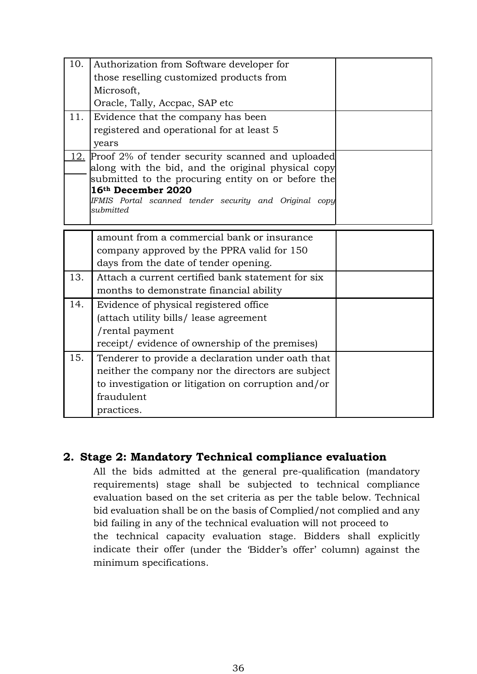| 10. | Authorization from Software developer for                                    |  |
|-----|------------------------------------------------------------------------------|--|
|     | those reselling customized products from                                     |  |
|     | Microsoft,                                                                   |  |
|     | Oracle, Tally, Accpac, SAP etc                                               |  |
| 11. | Evidence that the company has been                                           |  |
|     | registered and operational for at least 5                                    |  |
|     | years                                                                        |  |
| 12. | Proof 2% of tender security scanned and uploaded                             |  |
|     | along with the bid, and the original physical copy                           |  |
|     | submitted to the procuring entity on or before the                           |  |
|     | 16th December 2020<br>IFMIS Portal scanned tender security and Original copy |  |
|     | submitted                                                                    |  |
|     |                                                                              |  |
|     | amount from a commercial bank or insurance                                   |  |
|     | company approved by the PPRA valid for 150                                   |  |
|     | days from the date of tender opening.                                        |  |
| 13. | Attach a current certified bank statement for six                            |  |
|     | months to demonstrate financial ability                                      |  |
| 14. | Evidence of physical registered office                                       |  |
|     | (attach utility bills/ lease agreement                                       |  |
|     | /rental payment                                                              |  |
|     | receipt/ evidence of ownership of the premises)                              |  |
| 15. | Tenderer to provide a declaration under oath that                            |  |
|     | neither the company nor the directors are subject                            |  |
|     | to investigation or litigation on corruption and/or                          |  |
|     | fraudulent                                                                   |  |
|     | practices.                                                                   |  |

#### <span id="page-35-0"></span>**2. Stage 2: Mandatory Technical compliance evaluation**

All the bids admitted at the general pre-qualification (mandatory requirements) stage shall be subjected to technical compliance evaluation based on the set criteria as per the table below. Technical bid evaluation shall be on the basis of Complied/not complied and any bid failing in any of the technical evaluation will not proceed to the technical capacity evaluation stage. Bidders shall explicitly indicate their offer (under the 'Bidder's offer' column) against the minimum specifications.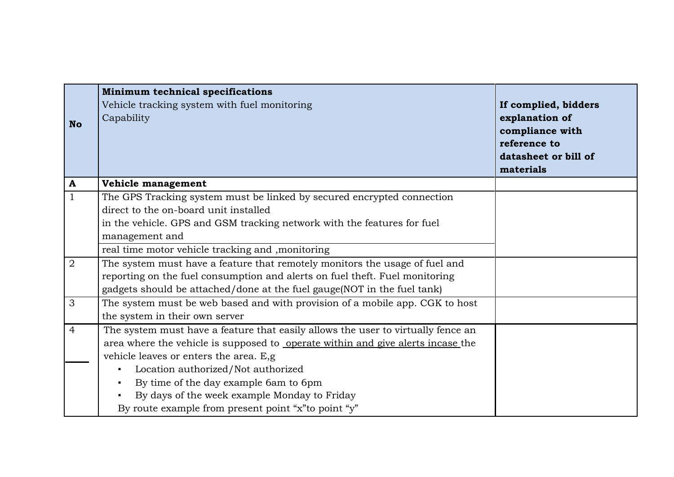| <b>No</b>      | <b>Minimum technical specifications</b><br>Vehicle tracking system with fuel monitoring<br>Capability | If complied, bidders<br>explanation of<br>compliance with<br>reference to<br>datasheet or bill of<br>materials |
|----------------|-------------------------------------------------------------------------------------------------------|----------------------------------------------------------------------------------------------------------------|
| $\mathbf{A}$   | Vehicle management                                                                                    |                                                                                                                |
| $\mathbf{1}$   | The GPS Tracking system must be linked by secured encrypted connection                                |                                                                                                                |
|                | direct to the on-board unit installed                                                                 |                                                                                                                |
|                | in the vehicle. GPS and GSM tracking network with the features for fuel                               |                                                                                                                |
|                | management and                                                                                        |                                                                                                                |
|                | real time motor vehicle tracking and , monitoring                                                     |                                                                                                                |
| $\overline{2}$ | The system must have a feature that remotely monitors the usage of fuel and                           |                                                                                                                |
|                | reporting on the fuel consumption and alerts on fuel theft. Fuel monitoring                           |                                                                                                                |
|                | gadgets should be attached/done at the fuel gauge(NOT in the fuel tank)                               |                                                                                                                |
| 3              | The system must be web based and with provision of a mobile app. CGK to host                          |                                                                                                                |
|                | the system in their own server                                                                        |                                                                                                                |
| $\overline{4}$ | The system must have a feature that easily allows the user to virtually fence an                      |                                                                                                                |
|                | area where the vehicle is supposed to operate within and give alerts incase the                       |                                                                                                                |
|                | vehicle leaves or enters the area. E,g                                                                |                                                                                                                |
|                | Location authorized/Not authorized<br>$\blacksquare$                                                  |                                                                                                                |
|                | By time of the day example 6am to 6pm<br>$\blacksquare$                                               |                                                                                                                |
|                | By days of the week example Monday to Friday<br>$\blacksquare$                                        |                                                                                                                |
|                | By route example from present point "x" to point "y"                                                  |                                                                                                                |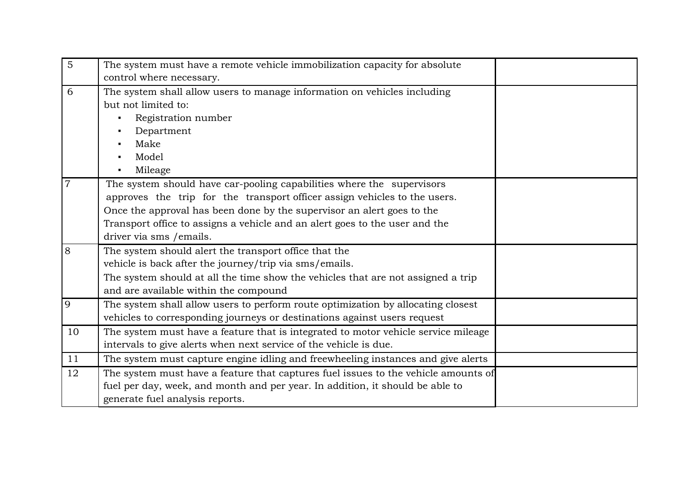| $\overline{5}$ | The system must have a remote vehicle immobilization capacity for absolute         |  |
|----------------|------------------------------------------------------------------------------------|--|
|                | control where necessary.                                                           |  |
| 6              | The system shall allow users to manage information on vehicles including           |  |
|                | but not limited to:                                                                |  |
|                | Registration number                                                                |  |
|                | Department                                                                         |  |
|                | Make                                                                               |  |
|                | Model                                                                              |  |
|                | Mileage                                                                            |  |
| $\overline{7}$ | The system should have car-pooling capabilities where the supervisors              |  |
|                | approves the trip for the transport officer assign vehicles to the users.          |  |
|                | Once the approval has been done by the supervisor an alert goes to the             |  |
|                | Transport office to assigns a vehicle and an alert goes to the user and the        |  |
|                | driver via sms / emails.                                                           |  |
| 8              | The system should alert the transport office that the                              |  |
|                | vehicle is back after the journey/trip via sms/emails.                             |  |
|                | The system should at all the time show the vehicles that are not assigned a trip   |  |
|                | and are available within the compound                                              |  |
| 9              | The system shall allow users to perform route optimization by allocating closest   |  |
|                | vehicles to corresponding journeys or destinations against users request           |  |
| 10             | The system must have a feature that is integrated to motor vehicle service mileage |  |
|                | intervals to give alerts when next service of the vehicle is due.                  |  |
| 11             | The system must capture engine idling and freewheeling instances and give alerts   |  |
| 12             | The system must have a feature that captures fuel issues to the vehicle amounts of |  |
|                | fuel per day, week, and month and per year. In addition, it should be able to      |  |
|                | generate fuel analysis reports.                                                    |  |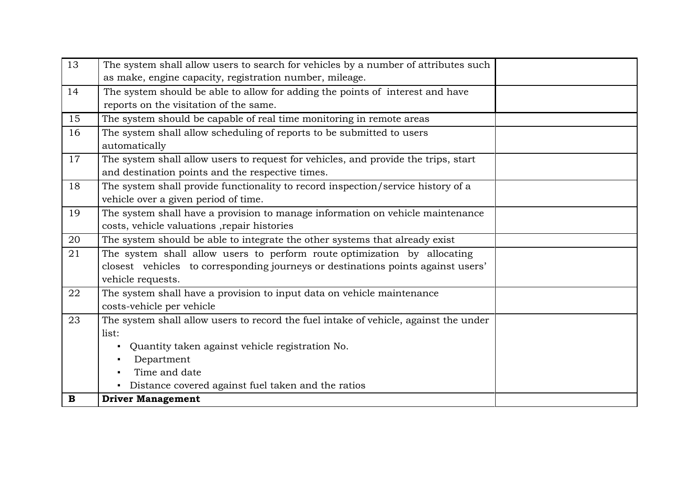| 13          | The system shall allow users to search for vehicles by a number of attributes such   |  |
|-------------|--------------------------------------------------------------------------------------|--|
|             | as make, engine capacity, registration number, mileage.                              |  |
| 14          | The system should be able to allow for adding the points of interest and have        |  |
|             | reports on the visitation of the same.                                               |  |
| 15          | The system should be capable of real time monitoring in remote areas                 |  |
| 16          | The system shall allow scheduling of reports to be submitted to users                |  |
|             | automatically                                                                        |  |
| 17          | The system shall allow users to request for vehicles, and provide the trips, start   |  |
|             | and destination points and the respective times.                                     |  |
| 18          | The system shall provide functionality to record inspection/service history of a     |  |
|             | vehicle over a given period of time.                                                 |  |
| 19          | The system shall have a provision to manage information on vehicle maintenance       |  |
|             | costs, vehicle valuations , repair histories                                         |  |
| 20          | The system should be able to integrate the other systems that already exist          |  |
| 21          | The system shall allow users to perform route optimization by allocating             |  |
|             | closest vehicles to corresponding journeys or destinations points against users'     |  |
|             | vehicle requests.                                                                    |  |
| 22          | The system shall have a provision to input data on vehicle maintenance               |  |
|             | costs-vehicle per vehicle                                                            |  |
| 23          | The system shall allow users to record the fuel intake of vehicle, against the under |  |
|             | list:                                                                                |  |
|             | Quantity taken against vehicle registration No.<br>$\blacksquare$                    |  |
|             | Department<br>$\blacksquare$                                                         |  |
|             | Time and date                                                                        |  |
|             | Distance covered against fuel taken and the ratios                                   |  |
| $\mathbf B$ | <b>Driver Management</b>                                                             |  |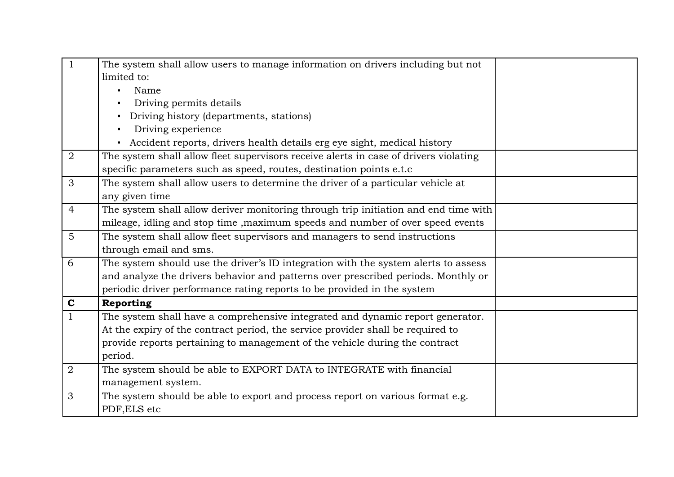| $\mathbf{1}$   | The system shall allow users to manage information on drivers including but not           |  |
|----------------|-------------------------------------------------------------------------------------------|--|
|                | limited to:                                                                               |  |
|                | Name<br>٠                                                                                 |  |
|                | Driving permits details                                                                   |  |
|                | Driving history (departments, stations)<br>٠                                              |  |
|                | Driving experience                                                                        |  |
|                | Accident reports, drivers health details erg eye sight, medical history<br>$\blacksquare$ |  |
| $\overline{2}$ | The system shall allow fleet supervisors receive alerts in case of drivers violating      |  |
|                | specific parameters such as speed, routes, destination points e.t.c                       |  |
| 3              | The system shall allow users to determine the driver of a particular vehicle at           |  |
|                | any given time                                                                            |  |
| $\overline{4}$ | The system shall allow deriver monitoring through trip initiation and end time with       |  |
|                | mileage, idling and stop time, maximum speeds and number of over speed events             |  |
| $\overline{5}$ | The system shall allow fleet supervisors and managers to send instructions                |  |
|                | through email and sms.                                                                    |  |
| 6              | The system should use the driver's ID integration with the system alerts to assess        |  |
|                | and analyze the drivers behavior and patterns over prescribed periods. Monthly or         |  |
|                | periodic driver performance rating reports to be provided in the system                   |  |
| $\mathbf C$    | Reporting                                                                                 |  |
| $\mathbf{1}$   | The system shall have a comprehensive integrated and dynamic report generator.            |  |
|                | At the expiry of the contract period, the service provider shall be required to           |  |
|                | provide reports pertaining to management of the vehicle during the contract               |  |
|                | period.                                                                                   |  |
| $\overline{2}$ | The system should be able to EXPORT DATA to INTEGRATE with financial                      |  |
|                | management system.                                                                        |  |
| 3              | The system should be able to export and process report on various format e.g.             |  |
|                | PDF, ELS etc                                                                              |  |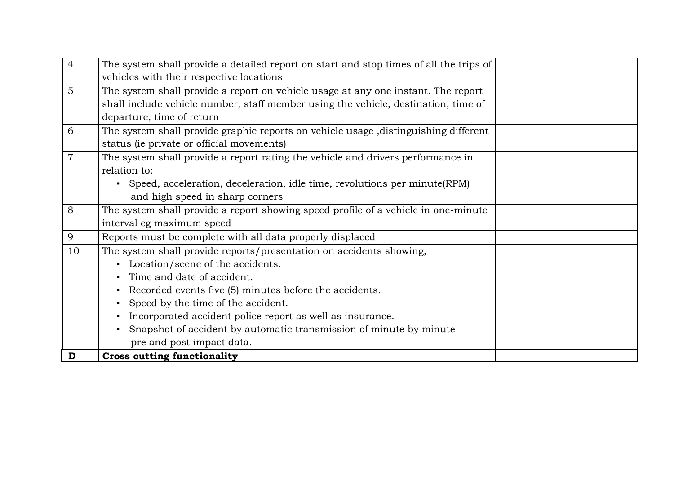| $\overline{4}$ | The system shall provide a detailed report on start and stop times of all the trips of |
|----------------|----------------------------------------------------------------------------------------|
|                | vehicles with their respective locations                                               |
| $\overline{5}$ | The system shall provide a report on vehicle usage at any one instant. The report      |
|                | shall include vehicle number, staff member using the vehicle, destination, time of     |
|                | departure, time of return                                                              |
| 6              | The system shall provide graphic reports on vehicle usage , distinguishing different   |
|                | status (ie private or official movements)                                              |
| $\overline{7}$ | The system shall provide a report rating the vehicle and drivers performance in        |
|                | relation to:                                                                           |
|                | • Speed, acceleration, deceleration, idle time, revolutions per minute (RPM)           |
|                | and high speed in sharp corners                                                        |
| 8              | The system shall provide a report showing speed profile of a vehicle in one-minute     |
|                | interval eg maximum speed                                                              |
| 9              | Reports must be complete with all data properly displaced                              |
| 10             | The system shall provide reports/presentation on accidents showing,                    |
|                | Location/scene of the accidents.<br>$\blacksquare$                                     |
|                | Time and date of accident.                                                             |
|                | Recorded events five (5) minutes before the accidents.<br>$\blacksquare$               |
|                | Speed by the time of the accident.<br>$\blacksquare$                                   |
|                | Incorporated accident police report as well as insurance.<br>$\blacksquare$            |
|                | Snapshot of accident by automatic transmission of minute by minute                     |
|                | pre and post impact data.                                                              |
| D              | <b>Cross cutting functionality</b>                                                     |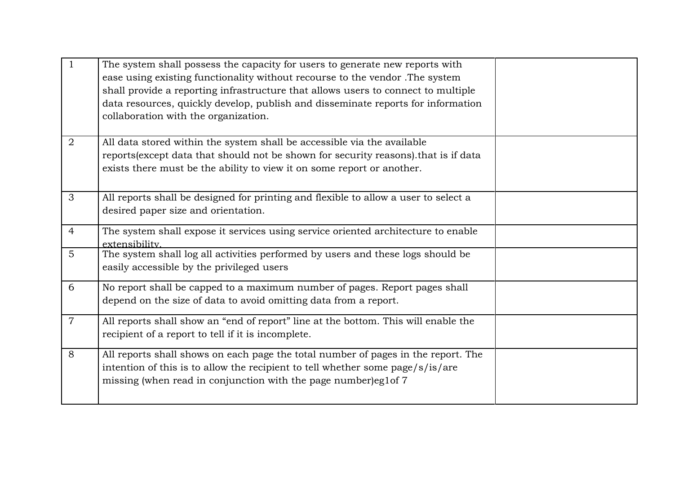| $\mathbf{1}$   | The system shall possess the capacity for users to generate new reports with<br>ease using existing functionality without recourse to the vendor. The system<br>shall provide a reporting infrastructure that allows users to connect to multiple<br>data resources, quickly develop, publish and disseminate reports for information<br>collaboration with the organization. |  |
|----------------|-------------------------------------------------------------------------------------------------------------------------------------------------------------------------------------------------------------------------------------------------------------------------------------------------------------------------------------------------------------------------------|--|
| $\overline{2}$ | All data stored within the system shall be accessible via the available<br>reports (except data that should not be shown for security reasons). that is if data<br>exists there must be the ability to view it on some report or another.                                                                                                                                     |  |
| 3              | All reports shall be designed for printing and flexible to allow a user to select a<br>desired paper size and orientation.                                                                                                                                                                                                                                                    |  |
| $\overline{4}$ | The system shall expose it services using service oriented architecture to enable<br>extensibility.                                                                                                                                                                                                                                                                           |  |
| 5              | The system shall log all activities performed by users and these logs should be<br>easily accessible by the privileged users                                                                                                                                                                                                                                                  |  |
| 6              | No report shall be capped to a maximum number of pages. Report pages shall<br>depend on the size of data to avoid omitting data from a report.                                                                                                                                                                                                                                |  |
| $\overline{7}$ | All reports shall show an "end of report" line at the bottom. This will enable the<br>recipient of a report to tell if it is incomplete.                                                                                                                                                                                                                                      |  |
| 8              | All reports shall shows on each page the total number of pages in the report. The<br>intention of this is to allow the recipient to tell whether some page/s/is/are<br>missing (when read in conjunction with the page number)eg1of 7                                                                                                                                         |  |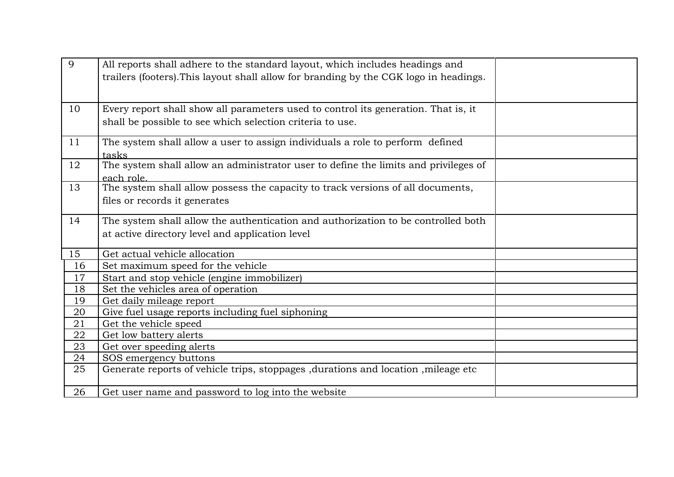| 9  | All reports shall adhere to the standard layout, which includes headings and<br>trailers (footers). This layout shall allow for branding by the CGK logo in headings. |  |
|----|-----------------------------------------------------------------------------------------------------------------------------------------------------------------------|--|
|    |                                                                                                                                                                       |  |
| 10 | Every report shall show all parameters used to control its generation. That is, it                                                                                    |  |
|    |                                                                                                                                                                       |  |
|    | shall be possible to see which selection criteria to use.                                                                                                             |  |
| 11 | The system shall allow a user to assign individuals a role to perform defined                                                                                         |  |
|    | tasks                                                                                                                                                                 |  |
| 12 | The system shall allow an administrator user to define the limits and privileges of                                                                                   |  |
|    | each role.                                                                                                                                                            |  |
| 13 | The system shall allow possess the capacity to track versions of all documents,                                                                                       |  |
|    | files or records it generates                                                                                                                                         |  |
| 14 | The system shall allow the authentication and authorization to be controlled both                                                                                     |  |
|    | at active directory level and application level                                                                                                                       |  |
| 15 | Get actual vehicle allocation                                                                                                                                         |  |
| 16 | Set maximum speed for the vehicle                                                                                                                                     |  |
| 17 | Start and stop vehicle (engine immobilizer)                                                                                                                           |  |
| 18 | Set the vehicles area of operation                                                                                                                                    |  |
| 19 | Get daily mileage report                                                                                                                                              |  |
| 20 | Give fuel usage reports including fuel siphoning                                                                                                                      |  |
| 21 | Get the vehicle speed                                                                                                                                                 |  |
| 22 | Get low battery alerts                                                                                                                                                |  |
| 23 | Get over speeding alerts                                                                                                                                              |  |
| 24 | SOS emergency buttons                                                                                                                                                 |  |
| 25 | Generate reports of vehicle trips, stoppages ,durations and location ,mileage etc                                                                                     |  |
| 26 | Get user name and password to log into the website                                                                                                                    |  |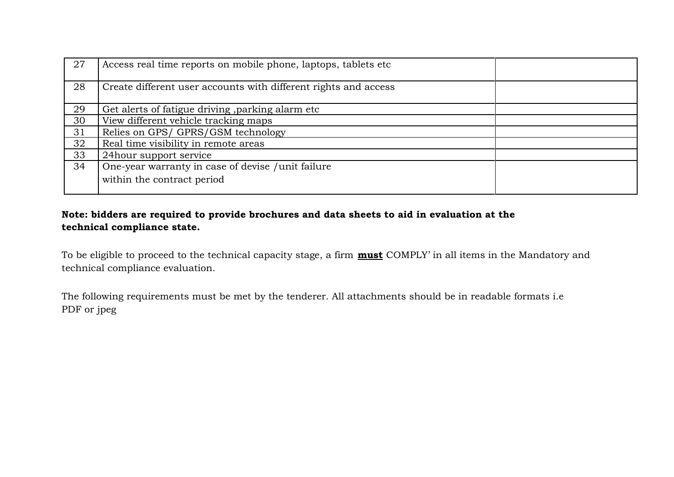| 27 | Access real time reports on mobile phone, laptops, tablets etc. |  |
|----|-----------------------------------------------------------------|--|
| 28 | Create different user accounts with different rights and access |  |
| 29 | Get alerts of fatigue driving, parking alarm etc                |  |
| 30 | View different vehicle tracking maps                            |  |
| 31 | Relies on GPS/ GPRS/GSM technology                              |  |
| 32 | Real time visibility in remote areas                            |  |
| 33 | 24 hour support service                                         |  |
| 34 | One-year warranty in case of devise / unit failure              |  |
|    | within the contract period                                      |  |

#### **Note: bidders are required to provide brochures and data sheets to aid in evaluation at the technical compliance state.**

To be eligible to proceed to the technical capacity stage, a firm **must** COMPLY' in all items in the Mandatory and technical compliance evaluation.

The following requirements must be met by the tenderer. All attachments should be in readable formats i.e PDF or jpeg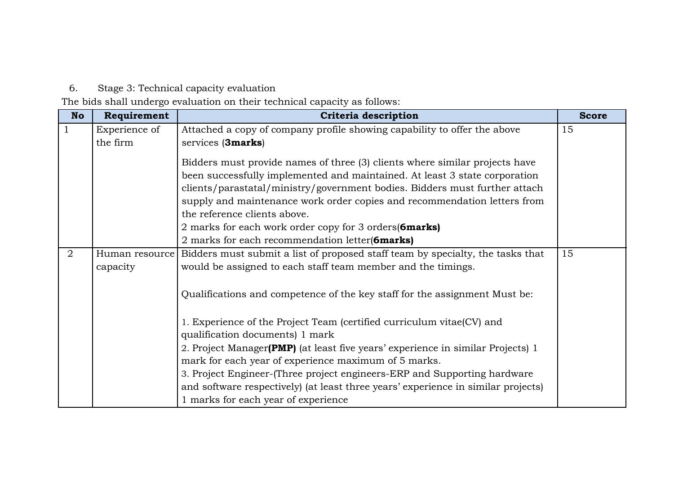6. Stage 3: Technical capacity evaluation

The bids shall undergo evaluation on their technical capacity as follows:

<span id="page-44-0"></span>

| <b>No</b> | Requirement   | Criteria description                                                                                                                                                                                                                                                                                                                                                                                                   | <b>Score</b> |
|-----------|---------------|------------------------------------------------------------------------------------------------------------------------------------------------------------------------------------------------------------------------------------------------------------------------------------------------------------------------------------------------------------------------------------------------------------------------|--------------|
|           | Experience of | Attached a copy of company profile showing capability to offer the above                                                                                                                                                                                                                                                                                                                                               | 15           |
|           | the firm      | services (3marks)                                                                                                                                                                                                                                                                                                                                                                                                      |              |
|           |               | Bidders must provide names of three (3) clients where similar projects have<br>been successfully implemented and maintained. At least 3 state corporation<br>clients/parastatal/ministry/government bodies. Bidders must further attach<br>supply and maintenance work order copies and recommendation letters from<br>the reference clients above.<br>2 marks for each work order copy for 3 orders ( <b>6marks</b> ) |              |
| 2         |               | 2 marks for each recommendation letter(6marks)                                                                                                                                                                                                                                                                                                                                                                         | 15           |
|           | capacity      | Human resource Bidders must submit a list of proposed staff team by specialty, the tasks that<br>would be assigned to each staff team member and the timings.                                                                                                                                                                                                                                                          |              |
|           |               | Qualifications and competence of the key staff for the assignment Must be:                                                                                                                                                                                                                                                                                                                                             |              |
|           |               | 1. Experience of the Project Team (certified curriculum vitae(CV) and<br>qualification documents) 1 mark                                                                                                                                                                                                                                                                                                               |              |
|           |               | 2. Project Manager(PMP) (at least five years' experience in similar Projects) 1                                                                                                                                                                                                                                                                                                                                        |              |
|           |               | mark for each year of experience maximum of 5 marks.                                                                                                                                                                                                                                                                                                                                                                   |              |
|           |               | 3. Project Engineer-(Three project engineers-ERP and Supporting hardware                                                                                                                                                                                                                                                                                                                                               |              |
|           |               | and software respectively) (at least three years' experience in similar projects)                                                                                                                                                                                                                                                                                                                                      |              |
|           |               | 1 marks for each year of experience                                                                                                                                                                                                                                                                                                                                                                                    |              |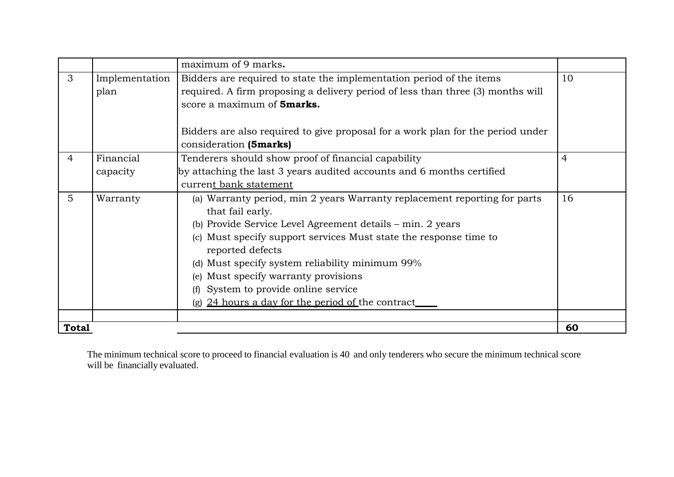|                |                | maximum of 9 marks.                                                             |                |
|----------------|----------------|---------------------------------------------------------------------------------|----------------|
| 3              | Implementation | Bidders are required to state the implementation period of the items            | 10             |
|                | plan           | required. A firm proposing a delivery period of less than three (3) months will |                |
|                |                | score a maximum of <b>5marks.</b>                                               |                |
|                |                |                                                                                 |                |
|                |                | Bidders are also required to give proposal for a work plan for the period under |                |
|                |                | consideration (5marks)                                                          |                |
| $\overline{4}$ | Financial      | Tenderers should show proof of financial capability                             | $\overline{4}$ |
|                | capacity       | by attaching the last 3 years audited accounts and 6 months certified           |                |
|                |                | current bank statement                                                          |                |
| $\overline{5}$ | Warranty       | (a) Warranty period, min 2 years Warranty replacement reporting for parts       | 16             |
|                |                | that fail early.                                                                |                |
|                |                | (b) Provide Service Level Agreement details – min. 2 years                      |                |
|                |                | (c) Must specify support services Must state the response time to               |                |
|                |                | reported defects                                                                |                |
|                |                | (d) Must specify system reliability minimum 99%                                 |                |
|                |                | (e) Must specify warranty provisions                                            |                |
|                |                | (f) System to provide online service                                            |                |
|                |                | (g) 24 hours a day for the period of the contract                               |                |
|                |                |                                                                                 |                |
| <b>Total</b>   |                |                                                                                 | 60             |

The minimum technical score to proceed to financial evaluation is 40 and only tenderers who secure the minimum technical score will be financially evaluated.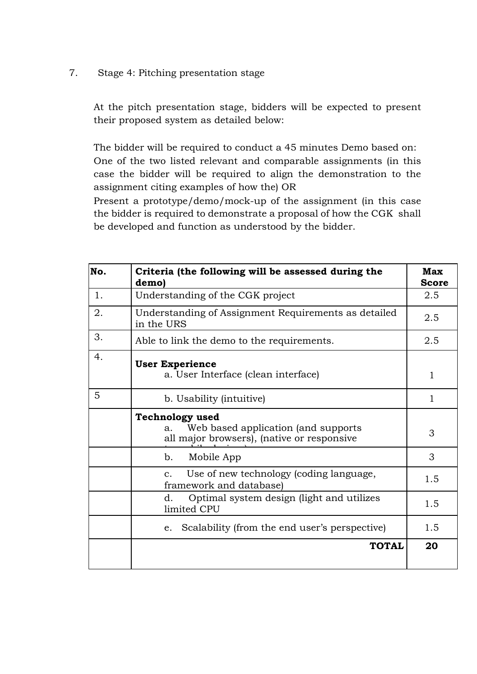<span id="page-46-0"></span>7. Stage 4: Pitching presentation stage

At the pitch presentation stage, bidders will be expected to present their proposed system as detailed below:

The bidder will be required to conduct a 45 minutes Demo based on: One of the two listed relevant and comparable assignments (in this case the bidder will be required to align the demonstration to the assignment citing examples of how the) OR

Present a prototype/demo/mock-up of the assignment (in this case the bidder is required to demonstrate a proposal of how the CGK shall be developed and function as understood by the bidder.

| No. | Criteria (the following will be assessed during the<br>demo)                                                      | Max<br><b>Score</b> |
|-----|-------------------------------------------------------------------------------------------------------------------|---------------------|
| 1.  | Understanding of the CGK project                                                                                  | 2.5                 |
| 2.  | Understanding of Assignment Requirements as detailed<br>in the URS                                                | 2.5                 |
| 3.  | Able to link the demo to the requirements.                                                                        | 2.5                 |
| 4.  | <b>User Experience</b><br>a. User Interface (clean interface)                                                     | $\mathbf{1}$        |
| 5   | b. Usability (intuitive)                                                                                          | 1                   |
|     | <b>Technology used</b><br>Web based application (and supports<br>a.<br>all major browsers), (native or responsive | 3                   |
|     | b.<br>Mobile App                                                                                                  | 3                   |
|     | Use of new technology (coding language,<br>$C_{\star}$<br>framework and database)                                 | 1.5                 |
|     | Optimal system design (light and utilizes<br>d.<br>limited CPU                                                    | 1.5                 |
|     | Scalability (from the end user's perspective)<br>e.                                                               | 1.5                 |
|     | <b>TOTAL</b>                                                                                                      | 20                  |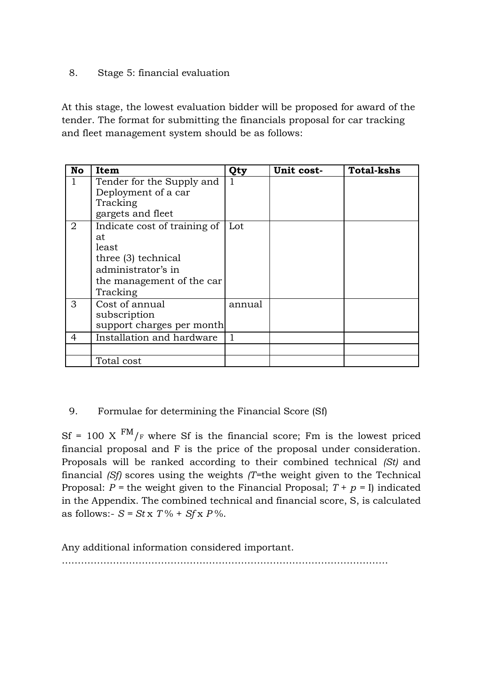#### <span id="page-47-0"></span>8. Stage 5: financial evaluation

At this stage, the lowest evaluation bidder will be proposed for award of the tender. The format for submitting the financials proposal for car tracking and fleet management system should be as follows:

| <b>No</b> | Item                                                                                                                              | Qty    | Unit cost- | <b>Total-kshs</b> |
|-----------|-----------------------------------------------------------------------------------------------------------------------------------|--------|------------|-------------------|
|           | Tender for the Supply and<br>Deployment of a car<br>Tracking<br>gargets and fleet                                                 |        |            |                   |
| 2         | Indicate cost of training of<br>at<br>least<br>three (3) technical<br>administrator's in<br>the management of the car<br>Tracking | Lot    |            |                   |
| 3         | Cost of annual<br>subscription<br>support charges per month                                                                       | annual |            |                   |
| 4         | Installation and hardware                                                                                                         |        |            |                   |
|           |                                                                                                                                   |        |            |                   |
|           | Total cost                                                                                                                        |        |            |                   |

#### <span id="page-47-1"></span>9. Formulae for determining the Financial Score (Sf)

Sf = 100 X  $^{FM}/_F$  where Sf is the financial score; Fm is the lowest priced financial proposal and F is the price of the proposal under consideration. Proposals will be ranked according to their combined technical *(St)* and financial *(Sf)* scores using the weights *(T=*the weight given to the Technical Proposal:  $P =$  the weight given to the Financial Proposal;  $T + p = I$  indicated in the Appendix. The combined technical and financial score, S, is calculated as follows:-  $S = Stx T\% + Sfx P\%.$ 

Any additional information considered important.

…………………………………………………………………………………………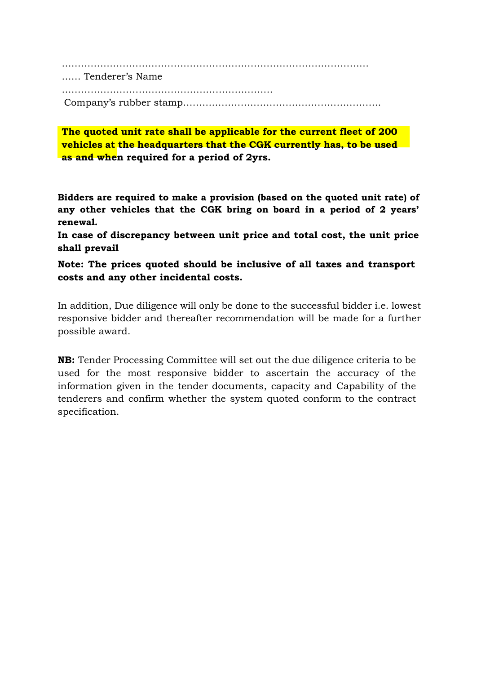…………………………………………………………………………………… …… Tenderer's Name ………………………………………………………… Company's rubber stamp……………………………………………………..

**The quoted unit rate shall be applicable for the current fleet of 200 vehicles at the headquarters that the CGK currently has, to be used as and when required for a period of 2yrs.**

**Bidders are required to make a provision (based on the quoted unit rate) of any other vehicles that the CGK bring on board in a period of 2 years' renewal.**

**In case of discrepancy between unit price and total cost, the unit price shall prevail**

**Note: The prices quoted should be inclusive of all taxes and transport costs and any other incidental costs.**

In addition, Due diligence will only be done to the successful bidder i.e. lowest responsive bidder and thereafter recommendation will be made for a further possible award.

**NB:** Tender Processing Committee will set out the due diligence criteria to be used for the most responsive bidder to ascertain the accuracy of the information given in the tender documents, capacity and Capability of the tenderers and confirm whether the system quoted conform to the contract specification.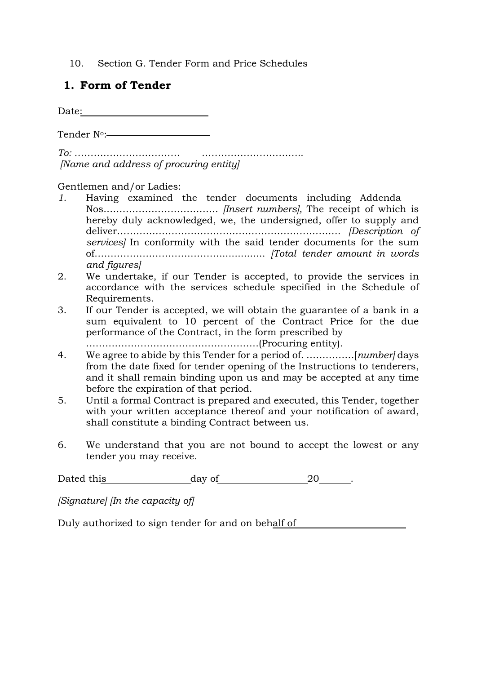10. Section G. Tender Form and Price Schedules

#### **1. Form of Tender**

Date:

Tender N°:-

*To: …………………………… ………………………….. [Name and address of procuring entity]*

Gentlemen and/or Ladies:

- *1.* Having examined the tender documents including Addenda Nos.…………………………….. *[Insert numbers],* The receipt of which is hereby duly acknowledged, we, the undersigned, offer to supply and deliver*……………………………………………………………. [Description of services]* In conformity with the said tender documents for the sum of…………………………………............... *[Total tender amount in words and figures]*
- 2. We undertake, if our Tender is accepted, to provide the services in accordance with the services schedule specified in the Schedule of Requirements.
- 3. If our Tender is accepted, we will obtain the guarantee of a bank in a sum equivalent to 10 percent of the Contract Price for the due performance of the Contract, in the form prescribed by

………………………………………………(Procuring entity).

- 4. We agree to abide by this Tender for a period of. ……………[*number]* days from the date fixed for tender opening of the Instructions to tenderers, and it shall remain binding upon us and may be accepted at any time before the expiration of that period.
- 5. Until a formal Contract is prepared and executed, this Tender, together with your written acceptance thereof and your notification of award, shall constitute a binding Contract between us.
- 6. We understand that you are not bound to accept the lowest or any tender you may receive.

Dated this day of 20 .

*[Signature] [In the capacity of]*

Duly authorized to sign tender for and on behalf of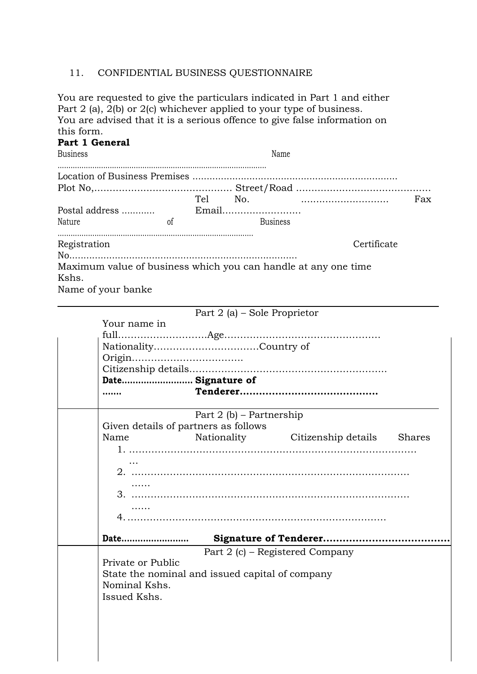#### 11. CONFIDENTIAL BUSINESS QUESTIONNAIRE

You are requested to give the particulars indicated in Part 1 and either Part 2 (a), 2(b) or 2(c) whichever applied to your type of business. You are advised that it is a serious offence to give false information on this form.

| uns iorm.<br><b>Business</b> | Part 1 General     |                                                 | Name                                                           |  |
|------------------------------|--------------------|-------------------------------------------------|----------------------------------------------------------------|--|
|                              |                    |                                                 |                                                                |  |
|                              |                    |                                                 |                                                                |  |
|                              |                    |                                                 |                                                                |  |
|                              |                    | Postal address                     Email        |                                                                |  |
| Nature                       |                    | <sub>of</sub><br><b>Example 18</b> Business     |                                                                |  |
| Registration                 |                    |                                                 | Certificate                                                    |  |
|                              |                    |                                                 |                                                                |  |
| Kshs.                        | Name of your banke |                                                 | Maximum value of business which you can handle at any one time |  |
|                              |                    | Part $2(a)$ – Sole Proprietor                   |                                                                |  |
|                              | Your name in       |                                                 |                                                                |  |
|                              |                    |                                                 |                                                                |  |
|                              |                    |                                                 |                                                                |  |
|                              |                    |                                                 |                                                                |  |
|                              |                    |                                                 |                                                                |  |
|                              |                    | Date Signature of                               |                                                                |  |
|                              |                    |                                                 |                                                                |  |
|                              |                    | Part $2(b)$ – Partnership                       |                                                                |  |
|                              |                    | Given details of partners as follows            |                                                                |  |
|                              | Name               |                                                 | Nationality Citizenship details Shares                         |  |
|                              |                    |                                                 |                                                                |  |
|                              |                    |                                                 |                                                                |  |
|                              |                    |                                                 |                                                                |  |
|                              |                    |                                                 |                                                                |  |
|                              |                    |                                                 |                                                                |  |
|                              |                    |                                                 |                                                                |  |
|                              |                    |                                                 |                                                                |  |
|                              | Date               |                                                 |                                                                |  |
|                              |                    |                                                 | Part 2 (c) – Registered Company                                |  |
|                              | Private or Public  |                                                 |                                                                |  |
|                              |                    | State the nominal and issued capital of company |                                                                |  |
|                              | Nominal Kshs.      |                                                 |                                                                |  |
|                              | Issued Kshs.       |                                                 |                                                                |  |
|                              |                    |                                                 |                                                                |  |
|                              |                    |                                                 |                                                                |  |
|                              |                    |                                                 |                                                                |  |
|                              |                    |                                                 |                                                                |  |
|                              |                    |                                                 |                                                                |  |
|                              |                    |                                                 |                                                                |  |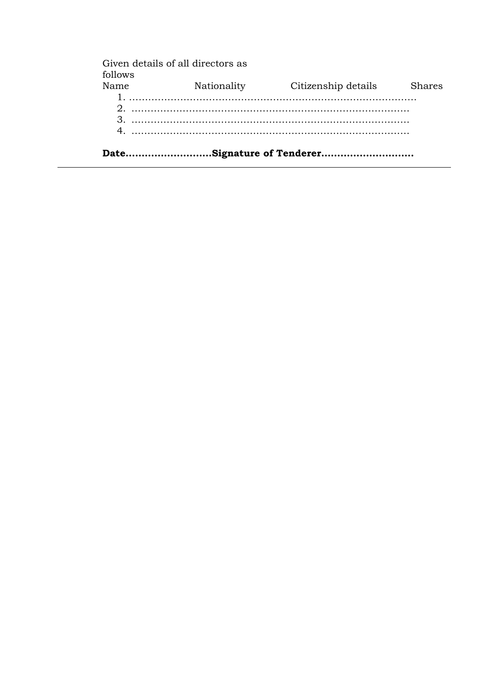|         | Given details of all directors as |                     |        |
|---------|-----------------------------------|---------------------|--------|
| follows |                                   |                     |        |
| Name    | Nationality                       | Citizenship details | Shares |
|         |                                   |                     |        |
|         |                                   |                     |        |
|         |                                   |                     |        |
|         |                                   |                     |        |
|         |                                   |                     |        |
|         |                                   |                     |        |

**Date………………………Signature of Tenderer………………………..**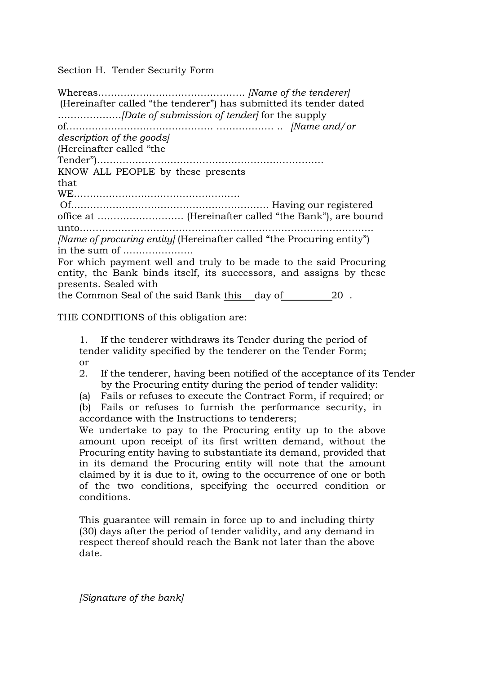Section H. Tender Security Form

Whereas………………………………………. *[Name of the tenderer]* (Hereinafter called "the tenderer") has submitted its tender dated ………………..*[Date of submission of tender]* for the supply of………………………………………. ……………… .. *[Name and/or description of the goods]* (Hereinafter called "the Tender")………….…………………………………………………. KNOW ALL PEOPLE by these presents that WE…….……………………………………… Of…………………………………………………….. Having our registered office at ……………………… (Hereinafter called "the Bank"), are bound unto……………………………………………………………………………….. *[Name of procuring entity]* (Hereinafter called "the Procuring entity") in the sum of …………………. For which payment well and truly to be made to the said Procuring entity, the Bank binds itself, its successors, and assigns by these presents. Sealed with the Common Seal of the said Bank this day of 20 .

THE CONDITIONS of this obligation are:

1. If the tenderer withdraws its Tender during the period of tender validity specified by the tenderer on the Tender Form; or

- 2. If the tenderer, having been notified of the acceptance of its Tender by the Procuring entity during the period of tender validity:
- (a) Fails or refuses to execute the Contract Form, if required; or

(b) Fails or refuses to furnish the performance security, in accordance with the Instructions to tenderers;

We undertake to pay to the Procuring entity up to the above amount upon receipt of its first written demand, without the Procuring entity having to substantiate its demand, provided that in its demand the Procuring entity will note that the amount claimed by it is due to it, owing to the occurrence of one or both of the two conditions, specifying the occurred condition or conditions.

This guarantee will remain in force up to and including thirty (30) days after the period of tender validity, and any demand in respect thereof should reach the Bank not later than the above date.

*[Signature of the bank]*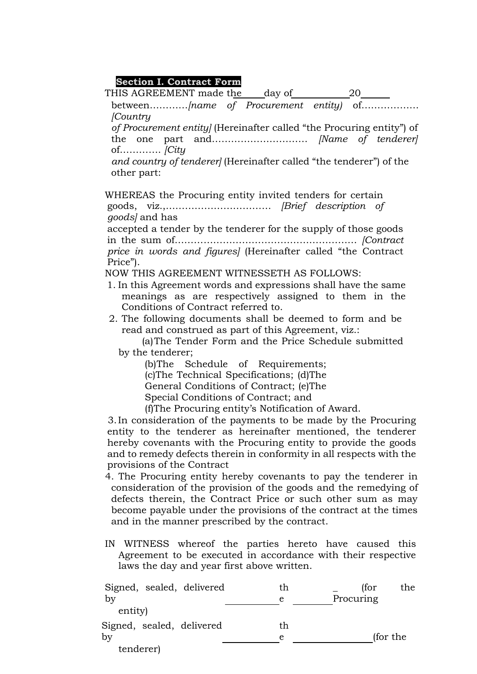#### **Section I. Contract Form**

| Section I. Contract Form                                                          |
|-----------------------------------------------------------------------------------|
|                                                                                   |
| between[name of Procurement entity] of                                            |
| <i>Country</i>                                                                    |
| of Procurement entity] (Hereinafter called "the Procuring entity") of             |
|                                                                                   |
|                                                                                   |
| and country of tenderer] (Hereinafter called "the tenderer") of the               |
| other part:                                                                       |
|                                                                                   |
| WHEREAS the Procuring entity invited tenders for certain                          |
|                                                                                   |
| goods and has                                                                     |
| accepted a tender by the tenderer for the supply of those goods                   |
|                                                                                   |
| price in words and figures] (Hereinafter called "the Contract                     |
| Price").                                                                          |
| NOW THIS AGREEMENT WITNESSETH AS FOLLOWS:                                         |
| 1. In this Agreement words and expressions shall have the same                    |
| meanings as are respectively assigned to them in the                              |
| Conditions of Contract referred to.                                               |
| 2. The following documents shall be deemed to form and be                         |
| read and construed as part of this Agreement, viz.:                               |
| (a) The Tender Form and the Price Schedule submitted                              |
| by the tenderer;                                                                  |
| (b)The Schedule of Requirements;                                                  |
| (c)The Technical Specifications; (d)The<br>General Conditions of Contract; (e)The |
| Special Conditions of Contract; and                                               |
| (f) The Procuring entity's Notification of Award.                                 |
| 3. In consideration of the payments to be made by the Procuring                   |
| entity to the tenderer as hereinafter mentioned, the tenderer                     |
| hereby covenants with the Procuring entity to provide the goods                   |
| and to remedy defects therein in conformity in all respects with the              |
| provisions of the Contract                                                        |
| 4. The Procuring entity hereby covenants to pay the tenderer in                   |
| consideration of the provision of the goods and the remedying of                  |
| defects therein, the Contract Price or such other sum as may                      |
| become payable under the provisions of the contract at the times                  |
| and in the manner prescribed by the contract.                                     |
|                                                                                   |

IN WITNESS whereof the parties hereto have caused this Agreement to be executed in accordance with their respective laws the day and year first above written.

| Signed, sealed, delivered<br>by | th<br>e | (for<br>the.<br>Procuring |
|---------------------------------|---------|---------------------------|
| entity)                         |         |                           |
| Signed, sealed, delivered       | th      |                           |
| bv                              | e       | (for the                  |
| tenderer)                       |         |                           |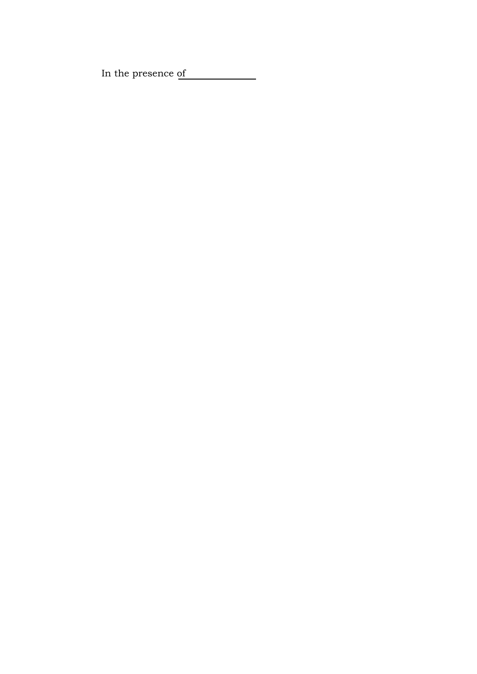In the presence of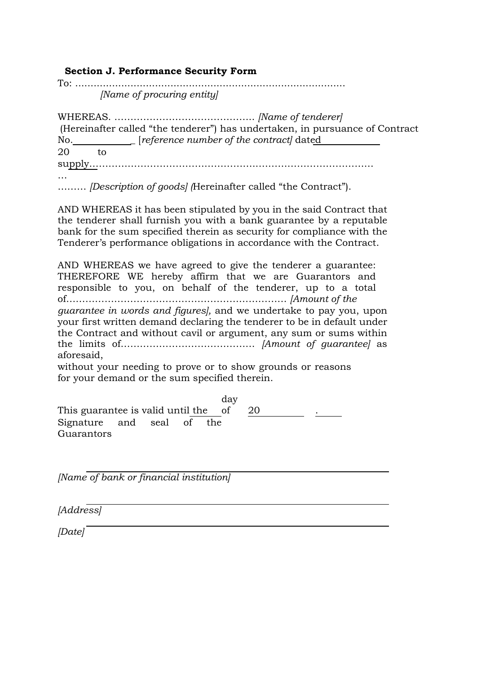#### **Section J. Performance Security Form**

To: ........................................................................................ *[Name of procuring entity]*

WHEREAS. …………………………………….. *[Name of tenderer]* (Hereinafter called "the tenderer") has undertaken, in pursuance of Contract No. \_ [*reference number of the contract]* dated 20 to supply……………………………………………..……………………………… …

……… *[Description of goods] (*Hereinafter called "the Contract").

AND WHEREAS it has been stipulated by you in the said Contract that the tenderer shall furnish you with a bank guarantee by a reputable bank for the sum specified therein as security for compliance with the Tenderer's performance obligations in accordance with the Contract.

AND WHEREAS we have agreed to give the tenderer a guarantee: THEREFORE WE hereby affirm that we are Guarantors and responsible to you, on behalf of the tenderer, up to a total of…………………………………………………………… *[Amount of the guarantee in words and figures],* and we undertake to pay you, upon your first written demand declaring the tenderer to be in default under the Contract and without cavil or argument, any sum or sums within the limits of…………………………………… *[Amount of guarantee]* as aforesaid,

without your needing to prove or to show grounds or reasons for your demand or the sum specified therein.

This guarantee is valid until the day of 20 . Signature and seal of the **Guarantors** 

*[Name of bank or financial institution]*

*[Address]*

*[Date]*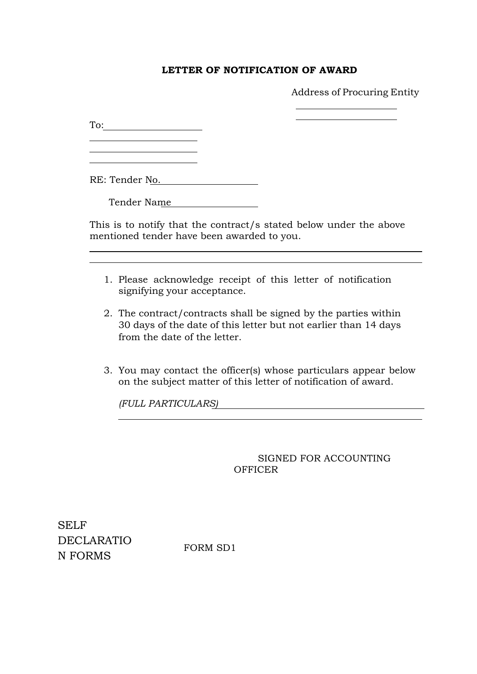#### **LETTER OF NOTIFICATION OF AWARD**

Address of Procuring Entity

To:

<u> 1990 - Johann Barbara, martin a</u> <u> 1980 - Johann Barbara, martxa amerikan p</u>

RE: Tender No.

Tender Name

This is to notify that the contract/s stated below under the above mentioned tender have been awarded to you.

- 1. Please acknowledge receipt of this letter of notification signifying your acceptance.
- 2. The contract/contracts shall be signed by the parties within 30 days of the date of this letter but not earlier than 14 days from the date of the letter.
- 3. You may contact the officer(s) whose particulars appear below on the subject matter of this letter of notification of award.

*(FULL PARTICULARS)*

SIGNED FOR ACCOUNTING **OFFICER** 

<u> 1989 - Johann Stoff, deutscher Stoff, der Stoff, der Stoff, der Stoff, der Stoff, der Stoff, der Stoff, der S</u>

SELF DECLARATIO N FORMS

FORM SD1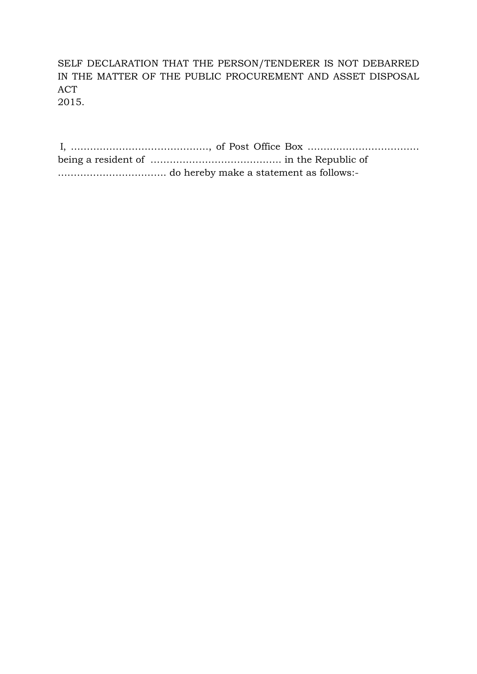SELF DECLARATION THAT THE PERSON/TENDERER IS NOT DEBARRED IN THE MATTER OF THE PUBLIC PROCUREMENT AND ASSET DISPOSAL ACT

2015.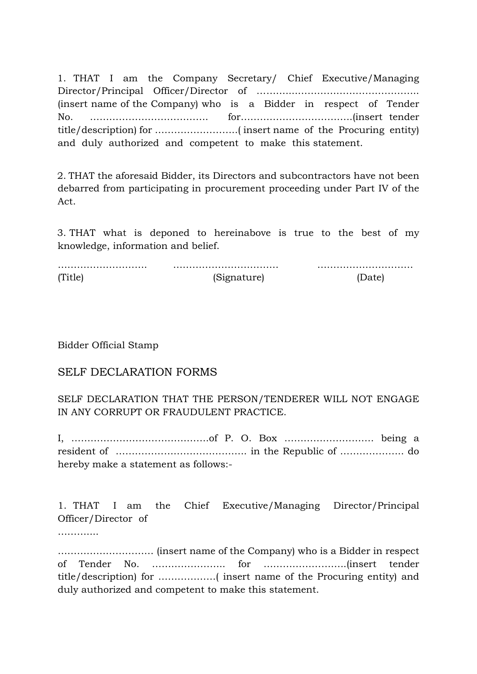1. THAT I am the Company Secretary/ Chief Executive/Managing Director/Principal Officer/Director of ………....……………………………….. (insert name of the Company) who is a Bidder in respect of Tender No. ………………………………. for……………………………..(insert tender title/description) for ……………………..( insert name of the Procuring entity) and duly authorized and competent to make this statement.

2. THAT the aforesaid Bidder, its Directors and subcontractors have not been debarred from participating in procurement proceeding under Part IV of the Act.

3. THAT what is deponed to hereinabove is true to the best of my knowledge, information and belief.

………………………. …………………………… ………………………… (Title) (Signature) (Date)

Bidder Official Stamp

#### SELF DECLARATION FORMS

SELF DECLARATION THAT THE PERSON/TENDERER WILL NOT ENGAGE IN ANY CORRUPT OR FRAUDULENT PRACTICE.

I, …………………………………….of P. O. Box ………………………. being a resident of ………………………………….. in the Republic of ……………….. do hereby make a statement as follows:-

1. THAT I am the Chief Executive/Managing Director/Principal Officer/Director of

……………

………………………… (insert name of the Company) who is a Bidder in respect of Tender No. ………………….. for ……………………..(insert tender title/description) for ………………( insert name of the Procuring entity) and duly authorized and competent to make this statement.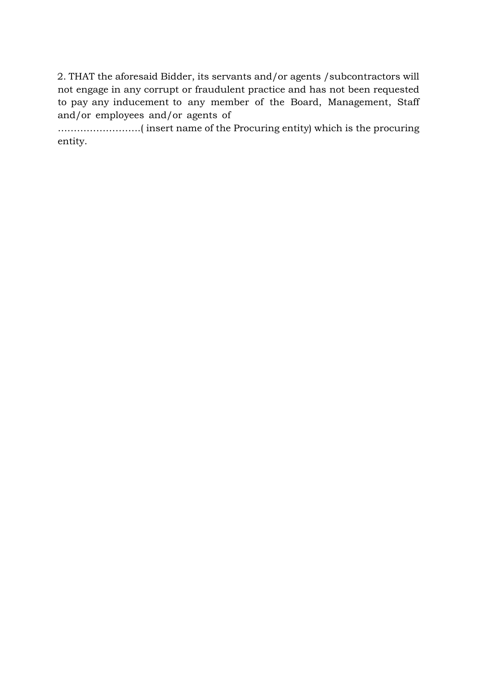2. THAT the aforesaid Bidder, its servants and/or agents /subcontractors will not engage in any corrupt or fraudulent practice and has not been requested to pay any inducement to any member of the Board, Management, Staff and/or employees and/or agents of

……………………..( insert name of the Procuring entity) which is the procuring entity.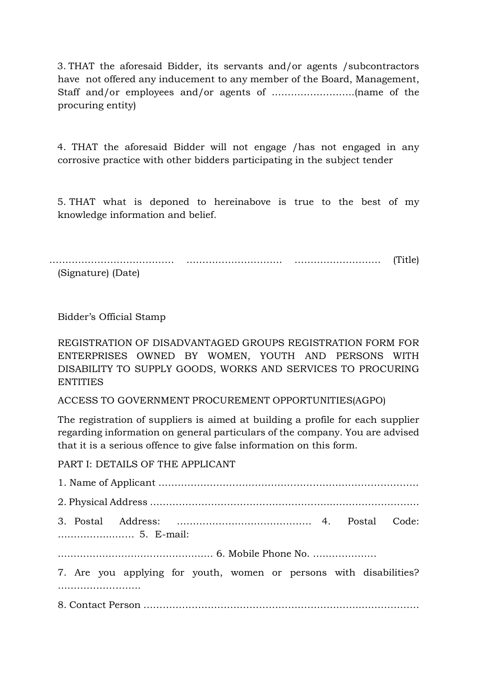3. THAT the aforesaid Bidder, its servants and/or agents /subcontractors have not offered any inducement to any member of the Board, Management, Staff and/or employees and/or agents of ……………………..(name of the procuring entity)

4. THAT the aforesaid Bidder will not engage /has not engaged in any corrosive practice with other bidders participating in the subject tender

5. THAT what is deponed to hereinabove is true to the best of my knowledge information and belief.

………………………………… ………………………… ……………………… (Title)

(Signature) (Date)

Bidder's Official Stamp

REGISTRATION OF DISADVANTAGED GROUPS REGISTRATION FORM FOR ENTERPRISES OWNED BY WOMEN, YOUTH AND PERSONS WITH DISABILITY TO SUPPLY GOODS, WORKS AND SERVICES TO PROCURING **ENTITIES** 

ACCESS TO GOVERNMENT PROCUREMENT OPPORTUNITIES(AGPO)

The registration of suppliers is aimed at building a profile for each supplier regarding information on general particulars of the company. You are advised that it is a serious offence to give false information on this form.

PART I: DETAILS OF THE APPLICANT

| 7. Are you applying for youth, women or persons with disabilities? |
|--------------------------------------------------------------------|
|                                                                    |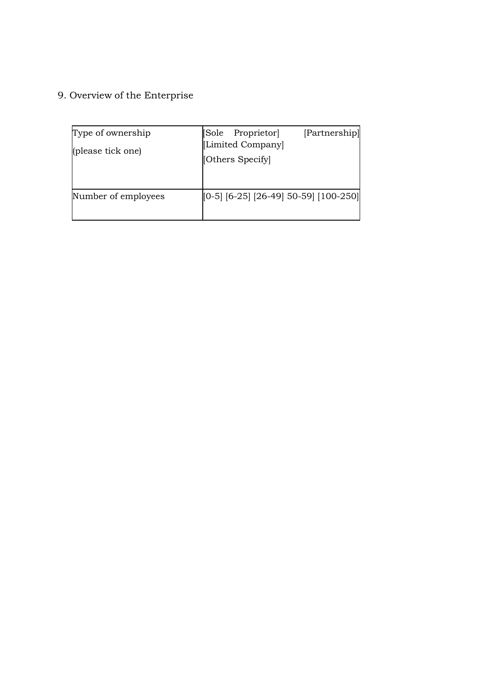9. Overview of the Enterprise

| Type of ownership<br>(please tick one) | [Partnership]<br>[Sole Proprietor]<br>[Limited Company]<br>[Others Specify] |
|----------------------------------------|-----------------------------------------------------------------------------|
| Number of employees                    | $[0-5]$ [6-25] [26-49] 50-59] [100-250]                                     |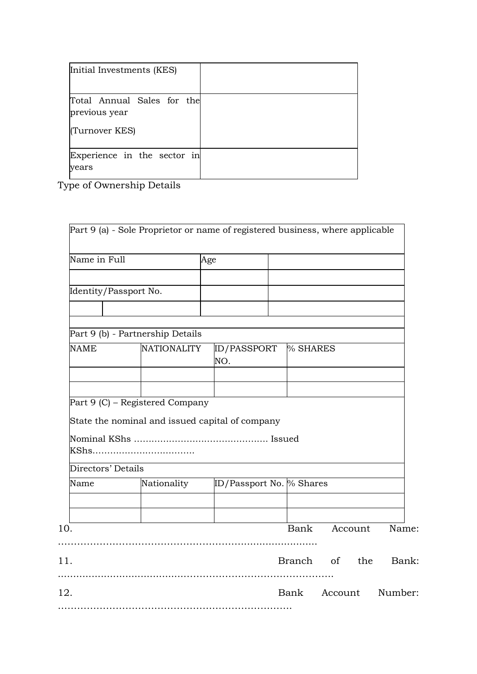| Initial Investments (KES)                                     |  |
|---------------------------------------------------------------|--|
| Total Annual Sales for the<br>previous year<br>(Turnover KES) |  |
| Experience in the sector in<br>years                          |  |

Type of Ownership Details

| Name in Full          |                                                 | Age |                          |  |                    |  |       |
|-----------------------|-------------------------------------------------|-----|--------------------------|--|--------------------|--|-------|
| Identity/Passport No. |                                                 |     |                          |  |                    |  |       |
|                       |                                                 |     |                          |  |                    |  |       |
|                       | Part 9 (b) - Partnership Details                |     |                          |  |                    |  |       |
| NAME                  | <b>NATIONALITY</b>                              |     | ID/PASSPORT<br>NO.       |  | % SHARES           |  |       |
|                       |                                                 |     |                          |  |                    |  |       |
|                       | Part 9 (C) - Registered Company                 |     |                          |  |                    |  |       |
|                       | State the nominal and issued capital of company |     |                          |  |                    |  |       |
| Directors' Details    |                                                 |     |                          |  |                    |  |       |
| Name                  | Nationality                                     |     | ID/Passport No. % Shares |  |                    |  |       |
| 10.                   |                                                 |     |                          |  | Bank Account Name: |  |       |
| 11.                   |                                                 |     |                          |  | Branch of the      |  | Bank: |